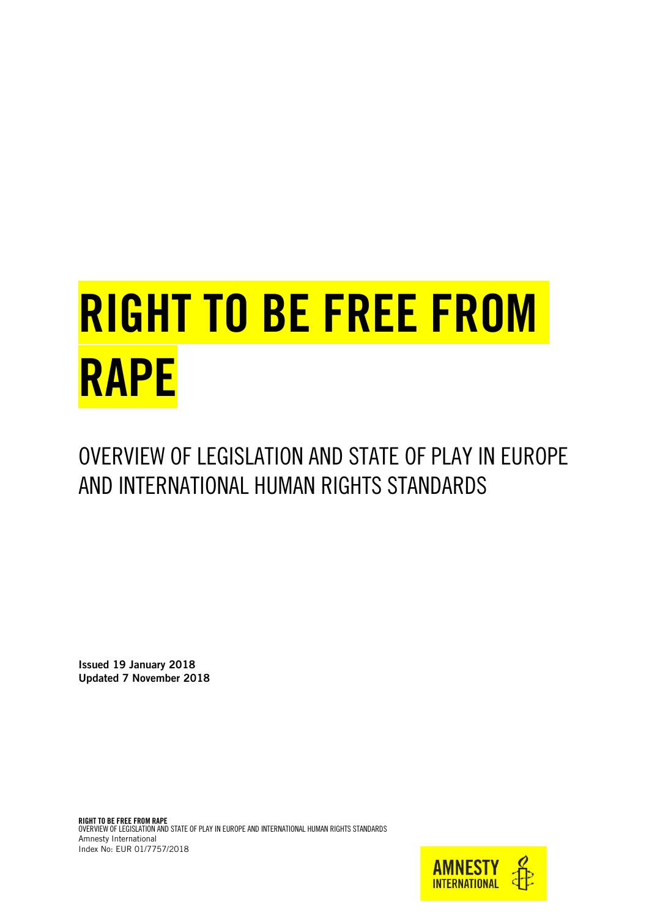# RIGHT TO BE FREE FROM RAPE

OVERVIEW OF LEGISLATION AND STATE OF PLAY IN EUROPE AND INTERNATIONAL HUMAN RIGHTS STANDARDS

Issued 19 January 2018 Updated 7 November 2018

RIGHT TO BE FREE FROM RAPE OVERVIEW OF LEGISLATION AND STATE OF PLAY IN EUROPE AND INTERNATIONAL HUMAN RIGHTS STANDARDS Amnesty International Index No: EUR 01/7757/2018

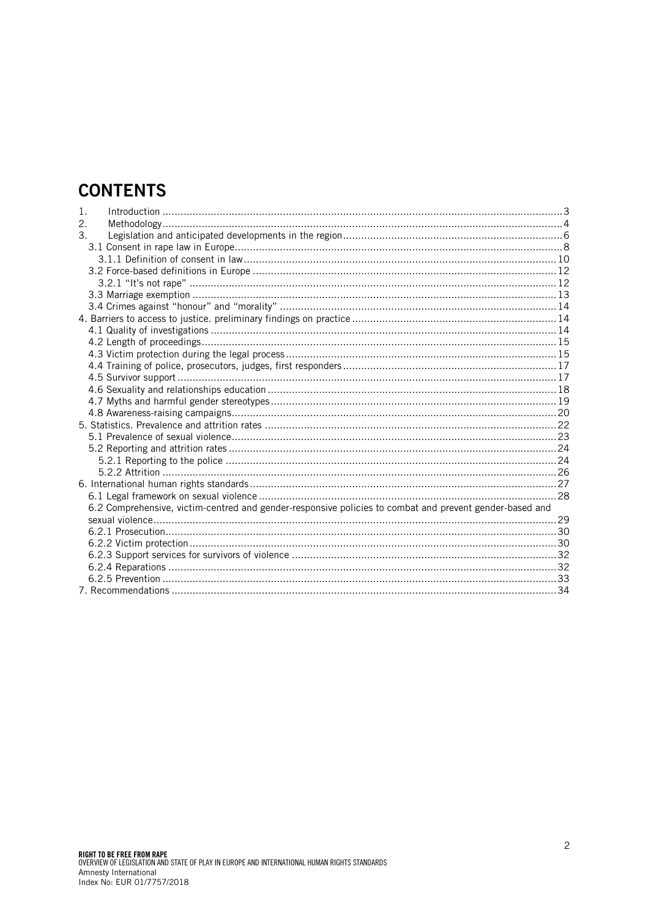# **CONTENTS**

| 1. | Introduction 33                                                                                         |  |
|----|---------------------------------------------------------------------------------------------------------|--|
| 2. |                                                                                                         |  |
| 3. |                                                                                                         |  |
|    |                                                                                                         |  |
|    |                                                                                                         |  |
|    |                                                                                                         |  |
|    |                                                                                                         |  |
|    |                                                                                                         |  |
|    |                                                                                                         |  |
|    |                                                                                                         |  |
|    |                                                                                                         |  |
|    |                                                                                                         |  |
|    |                                                                                                         |  |
|    |                                                                                                         |  |
|    |                                                                                                         |  |
|    |                                                                                                         |  |
|    |                                                                                                         |  |
|    |                                                                                                         |  |
|    |                                                                                                         |  |
|    |                                                                                                         |  |
|    |                                                                                                         |  |
|    |                                                                                                         |  |
|    |                                                                                                         |  |
|    |                                                                                                         |  |
|    |                                                                                                         |  |
|    | 6.2 Comprehensive, victim-centred and gender-responsive policies to combat and prevent gender-based and |  |
|    |                                                                                                         |  |
|    |                                                                                                         |  |
|    |                                                                                                         |  |
|    |                                                                                                         |  |
|    |                                                                                                         |  |
|    |                                                                                                         |  |
|    |                                                                                                         |  |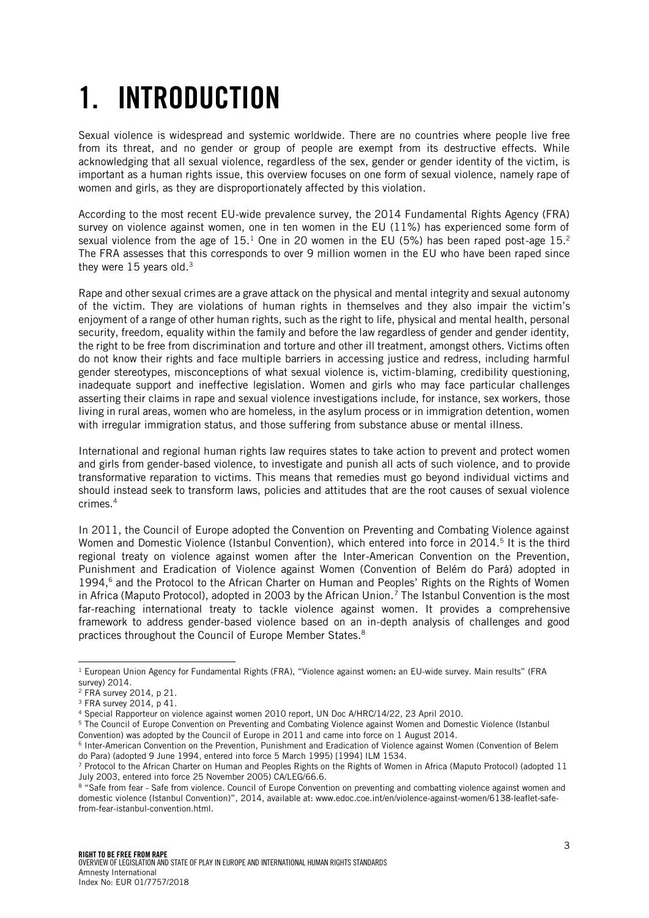# <span id="page-2-0"></span>1. INTRODUCTION

Sexual violence is widespread and systemic worldwide. There are no countries where people live free from its threat, and no gender or group of people are exempt from its destructive effects. While acknowledging that all sexual violence, regardless of the sex, gender or gender identity of the victim, is important as a human rights issue, this overview focuses on one form of sexual violence, namely rape of women and girls, as they are disproportionately affected by this violation.

According to the most recent EU-wide prevalence survey, the 2014 Fundamental Rights Agency (FRA) survey on violence against women, one in ten women in the EU (11%) has experienced some form of sexual violence from the age of  $15<sup>1</sup>$  One in 20 women in the EU (5%) has been raped post-age  $15<sup>2</sup>$ The FRA assesses that this corresponds to over 9 million women in the EU who have been raped since they were 15 years old.<sup>3</sup>

Rape and other sexual crimes are a grave attack on the physical and mental integrity and sexual autonomy of the victim. They are violations of human rights in themselves and they also impair the victim's enjoyment of a range of other human rights, such as the right to life, physical and mental health, personal security, freedom, equality within the family and before the law regardless of gender and gender identity, the right to be free from discrimination and torture and other ill treatment, amongst others. Victims often do not know their rights and face multiple barriers in accessing justice and redress, including harmful gender stereotypes, misconceptions of what sexual violence is, victim-blaming, credibility questioning, inadequate support and ineffective legislation. Women and girls who may face particular challenges asserting their claims in rape and sexual violence investigations include, for instance, sex workers, those living in rural areas, women who are homeless, in the asylum process or in immigration detention, women with irregular immigration status, and those suffering from substance abuse or mental illness.

International and regional human rights law requires states to take action to prevent and protect women and girls from gender-based violence, to investigate and punish all acts of such violence, and to provide transformative reparation to victims. This means that remedies must go beyond individual victims and should instead seek to transform laws, policies and attitudes that are the root causes of sexual violence crimes.<sup>4</sup>

In 2011, the Council of Europe adopted the Convention on Preventing and Combating Violence against Women and Domestic Violence (Istanbul Convention), which entered into force in 2014.<sup>5</sup> It is the third regional treaty on violence against women after the Inter-American Convention on the Prevention, Punishment and Eradication of Violence against Women (Convention of Belém do Pará) adopted in 1994,<sup>6</sup> and the Protocol to the African Charter on Human and Peoples' Rights on the Rights of Women in Africa (Maputo Protocol), adopted in 2003 by the African Union.<sup>7</sup> The Istanbul Convention is the most far-reaching international treaty to tackle violence against women. It provides a comprehensive framework to address gender-based violence based on an in-depth analysis of challenges and good practices throughout the Council of Europe Member States.<sup>8</sup>

l <sup>1</sup> European Union Agency for Fundamental Rights (FRA), "Violence against women: an EU-wide survey. Main results" (FRA survey) 2014.

<sup>2</sup> FRA survey 2014, p 21.

<sup>3</sup> FRA survey 2014, p 41.

<sup>4</sup> Special Rapporteur on violence against women 2010 report, UN Doc A/HRC/14/22, 23 April 2010.

<sup>5</sup> The Council of Europe Convention on Preventing and Combating Violence against Women and Domestic Violence (Istanbul Convention) was adopted by the Council of Europe in 2011 and came into force on 1 August 2014.

<sup>6</sup> Inter-American Convention on the Prevention, Punishment and Eradication of Violence against Women (Convention of Belem do Para) (adopted 9 June 1994, entered into force 5 March 1995) [1994] ILM 1534.

<sup>7</sup> Protocol to the African Charter on Human and Peoples Rights on the Rights of Women in Africa (Maputo Protocol) (adopted 11 July 2003, entered into force 25 November 2005) CA/LEG/66.6.

<sup>8</sup> "Safe from fear - Safe from violence. Council of Europe Convention on preventing and combatting violence against women and domestic violence (Istanbul Convention)", 2014, available at: www.edoc.coe.int/en/violence-against-women/6138-leaflet-safefrom-fear-istanbul-convention.html.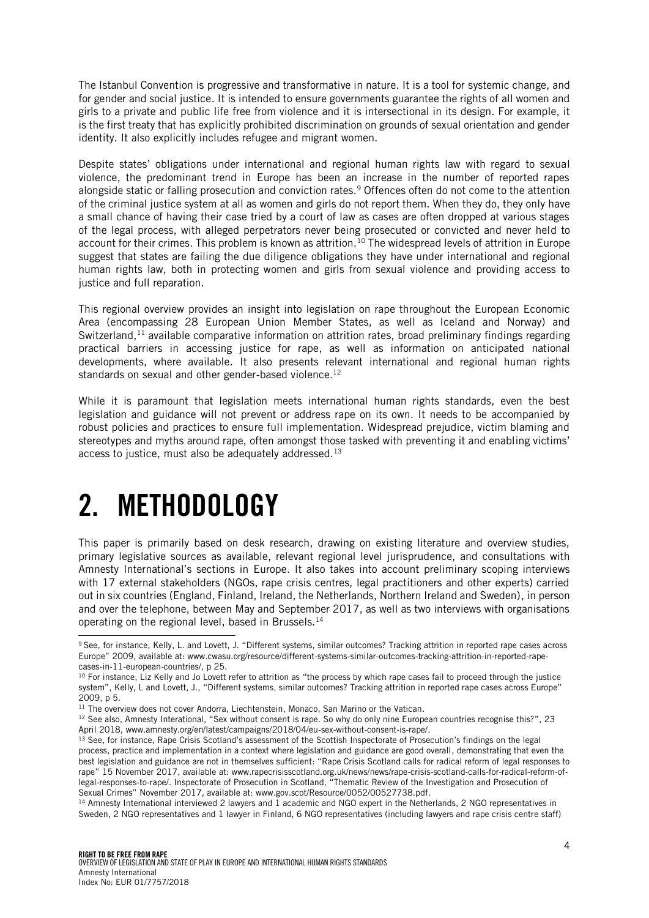The Istanbul Convention is progressive and transformative in nature. It is a tool for systemic change, and for gender and social justice. It is intended to ensure governments guarantee the rights of all women and girls to a private and public life free from violence and it is intersectional in its design. For example, it is the first treaty that has explicitly prohibited discrimination on grounds of sexual orientation and gender identity. It also explicitly includes refugee and migrant women.

Despite states' obligations under international and regional human rights law with regard to sexual violence, the predominant trend in Europe has been an increase in the number of reported rapes alongside static or falling prosecution and conviction rates.<sup>9</sup> Offences often do not come to the attention of the criminal justice system at all as women and girls do not report them. When they do, they only have a small chance of having their case tried by a court of law as cases are often dropped at various stages of the legal process, with alleged perpetrators never being prosecuted or convicted and never held to account for their crimes. This problem is known as attrition.<sup>10</sup> The widespread levels of attrition in Europe suggest that states are failing the due diligence obligations they have under international and regional human rights law, both in protecting women and girls from sexual violence and providing access to justice and full reparation.

This regional overview provides an insight into legislation on rape throughout the European Economic Area (encompassing 28 European Union Member States, as well as Iceland and Norway) and Switzerland,<sup>11</sup> available comparative information on attrition rates, broad preliminary findings regarding practical barriers in accessing justice for rape, as well as information on anticipated national developments, where available. It also presents relevant international and regional human rights standards on sexual and other gender-based violence.<sup>12</sup>

While it is paramount that legislation meets international human rights standards, even the best legislation and guidance will not prevent or address rape on its own. It needs to be accompanied by robust policies and practices to ensure full implementation. Widespread prejudice, victim blaming and stereotypes and myths around rape, often amongst those tasked with preventing it and enabling victims' access to justice, must also be adequately addressed.<sup>13</sup>

# <span id="page-3-0"></span>2. METHODOLOGY

l

This paper is primarily based on desk research, drawing on existing literature and overview studies, primary legislative sources as available, relevant regional level jurisprudence, and consultations with Amnesty International's sections in Europe. It also takes into account preliminary scoping interviews with 17 external stakeholders (NGOs, rape crisis centres, legal practitioners and other experts) carried out in six countries (England, Finland, Ireland, the Netherlands, Northern Ireland and Sweden), in person and over the telephone, between May and September 2017, as well as two interviews with organisations operating on the regional level, based in Brussels.<sup>14</sup>

<sup>9</sup> See, for instance, Kelly, L. and Lovett, J. "Different systems, similar outcomes? Tracking attrition in reported rape cases across Europe" 2009, available at: www.cwasu.org/resource/different-systems-similar-outcomes-tracking-attrition-in-reported-rapecases-in-11-european-countries/, p 25.

<sup>&</sup>lt;sup>10</sup> For instance, Liz Kelly and Jo Lovett refer to attrition as "the process by which rape cases fail to proceed through the justice system", Kelly, L and Lovett, J., "Different systems, similar outcomes? Tracking attrition in reported rape cases across Europe" 2009, p 5.

<sup>&</sup>lt;sup>11</sup> The overview does not cover Andorra, Liechtenstein, Monaco, San Marino or the Vatican.

<sup>&</sup>lt;sup>12</sup> See also, Amnesty Interational, "Sex without consent is rape. So why do only nine European countries recognise this?", 23 April 2018, www.amnesty.org/en/latest/campaigns/2018/04/eu-sex-without-consent-is-rape/.

<sup>&</sup>lt;sup>13</sup> See, for instance, Rape Crisis Scotland's assessment of the Scottish Inspectorate of Prosecution's findings on the legal process, practice and implementation in a context where legislation and guidance are good overall, demonstrating that even the best legislation and guidance are not in themselves sufficient: "Rape Crisis Scotland calls for radical reform of legal responses to rape" 15 November 2017, available at[: www.rapecrisisscotland.org.uk/news/news/rape-crisis-scotland-calls-for-radical-reform-of](http://www.rapecrisisscotland.org.uk/news/news/rape-crisis-scotland-calls-for-radical-reform-of-legal-responses-to-rape/)[legal-responses-to-rape/](http://www.rapecrisisscotland.org.uk/news/news/rape-crisis-scotland-calls-for-radical-reform-of-legal-responses-to-rape/). Inspectorate of Prosecution in Scotland, "Thematic Review of the Investigation and Prosecution of Sexual Crimes" November 2017, available at: www.gov.scot/Resource/0052/00527738.pdf.

<sup>14</sup> Amnesty International interviewed 2 lawyers and 1 academic and NGO expert in the Netherlands, 2 NGO representatives in Sweden, 2 NGO representatives and 1 lawyer in Finland, 6 NGO representatives (including lawyers and rape crisis centre staff)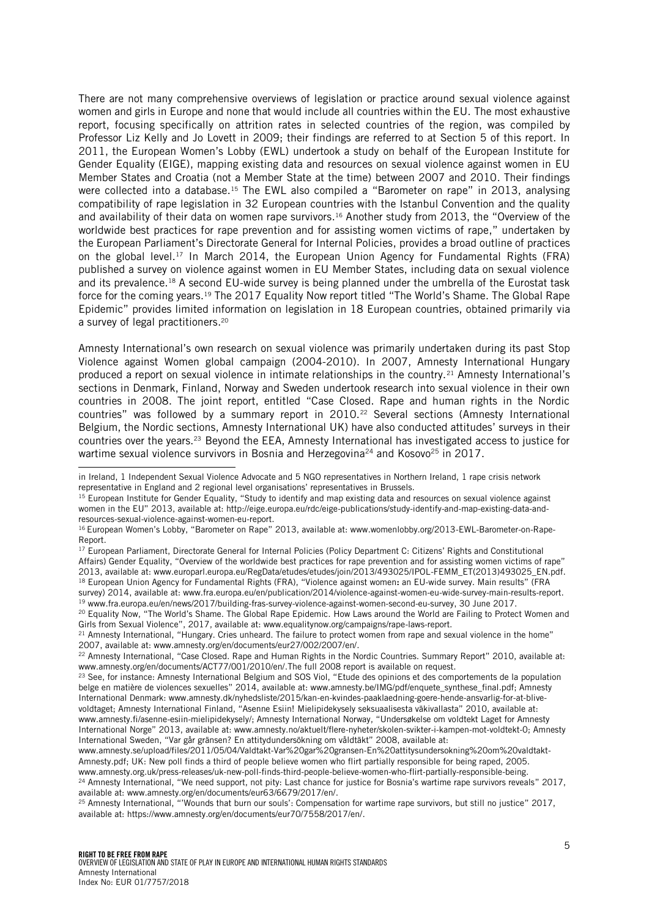There are not many comprehensive overviews of legislation or practice around sexual violence against women and girls in Europe and none that would include all countries within the EU. The most exhaustive report, focusing specifically on attrition rates in selected countries of the region, was compiled by Professor Liz Kelly and Jo Lovett in 2009; their findings are referred to at Section 5 of this report. In 2011, the European Women's Lobby (EWL) undertook a study on behalf of the European Institute for Gender Equality (EIGE), mapping existing data and resources on sexual violence against women in EU Member States and Croatia (not a Member State at the time) between 2007 and 2010. Their findings were collected into a database.<sup>15</sup> The EWL also compiled a "Barometer on rape" in 2013, analysing compatibility of rape legislation in 32 European countries with the Istanbul Convention and the quality and availability of their data on women rape survivors. <sup>16</sup> Another study from 2013, the "Overview of the worldwide best practices for rape prevention and for assisting women victims of rape," undertaken by the European Parliament's Directorate General for Internal Policies, provides a broad outline of practices on the global level.<sup>17</sup> In March 2014, the European Union Agency for Fundamental Rights (FRA) published a survey on violence against women in EU Member States, including data on sexual violence and its prevalence.<sup>18</sup> A second EU-wide survey is being planned under the umbrella of the Eurostat task force for the coming years.<sup>19</sup> The 2017 Equality Now report titled "The World's Shame. The Global Rape Epidemic" provides limited information on legislation in 18 European countries, obtained primarily via a survey of legal practitioners. 20

Amnesty International's own research on sexual violence was primarily undertaken during its past Stop Violence against Women global campaign (2004-2010). In 2007, Amnesty International Hungary produced a report on sexual violence in intimate relationships in the country.<sup>21</sup> Amnesty International's sections in Denmark, Finland, Norway and Sweden undertook research into sexual violence in their own countries in 2008. The joint report, entitled "Case Closed. Rape and human rights in the Nordic countries" was followed by a summary report in 2010.<sup>22</sup> Several sections (Amnesty International Belgium, the Nordic sections, Amnesty International UK) have also conducted attitudes' surveys in their countries over the years.<sup>23</sup> Beyond the EEA, Amnesty International has investigated access to justice for wartime sexual violence survivors in Bosnia and Herzegovina<sup>24</sup> and Kosovo<sup>25</sup> in 2017.

j

in Ireland, 1 Independent Sexual Violence Advocate and 5 NGO representatives in Northern Ireland, 1 rape crisis network representative in England and 2 regional level organisations' representatives in Brussels.

<sup>&</sup>lt;sup>15</sup> European Institute for Gender Equality, "Study to identify and map existing data and resources on sexual violence against women in the EU" 2013, available at: http://eige.europa.eu/rdc/eige-publications/study-identify-and-map-existing-data-andresources-sexual-violence-against-women-eu-report.

<sup>16</sup> European Women's Lobby, "Barometer on Rape" 2013, available at: www.womenlobby.org/2013-EWL-Barometer-on-Rape-Report.

<sup>&</sup>lt;sup>17</sup> European Parliament, Directorate General for Internal Policies (Policy Department C: Citizens' Rights and Constitutional Affairs) Gender Equality, "Overview of the worldwide best practices for rape prevention and for assisting women victims of rape" 2013, available at: www.europarl.europa.eu/RegData/etudes/etudes/join/2013/493025/IPOL-FEMM\_ET(2013)493025\_EN.pdf. <sup>18</sup> European Union Agency for Fundamental Rights (FRA), "Violence against women: an EU-wide survey. Main results" (FRA survey) 2014, available at: www.fra.europa.eu/en/publication/2014/violence-against-women-eu-wide-survey-main-results-report. <sup>19</sup> www.fra.europa.eu/en/news/2017/building-fras-survey-violence-against-women-second-eu-survey, 30 June 2017.

<sup>&</sup>lt;sup>20</sup> Equality Now, "The World's Shame. The Global Rape Epidemic. How Laws around the World are Failing to Protect Women and Girls from Sexual Violence", 2017, available at: www.equalitynow.org/campaigns/rape-laws-report.

<sup>&</sup>lt;sup>21</sup> Amnesty International, "Hungary. Cries unheard. The failure to protect women from rape and sexual violence in the home" 2007, available at: www.amnesty.org/en/documents/eur27/002/2007/en/.

<sup>&</sup>lt;sup>22</sup> Amnesty International, "Case Closed. Rape and Human Rights in the Nordic Countries. Summary Report" 2010, available at: www.amnesty.org/en/documents/ACT77/001/2010/en/.The full 2008 report is available on request.

<sup>&</sup>lt;sup>23</sup> See, for instance: Amnesty International Belgium and SOS Viol, "Etude des opinions et des comportements de la population belge en matière de violences sexuelles" 2014, available at: www.amnesty.be/IMG/pdf/enquete\_synthese\_final.pdf; Amnesty International Denmark: www.amnesty.dk/nyhedsliste/2015/kan-en-kvindes-paaklaedning-goere-hende-ansvarlig-for-at-blivevoldtaget; Amnesty International Finland, "Asenne Esiin! Mielipidekysely seksuaalisesta väkivallasta" 2010, available at: www.amnesty.fi/asenne-esiin-mielipidekysely/; Amnesty International Norway, "Undersøkelse om voldtekt Laget for Amnesty International Norge" 2013, available at: www.amnesty.no/aktuelt/flere-nyheter/skolen-svikter-i-kampen-mot-voldtekt-0; Amnesty International Sweden, "Var går gränsen? En attitydundersökning om våldtäkt" 2008, available at:

www.amnesty.se/upload/files/2011/05/04/Valdtakt-Var%20gar%20gransen-En%20attitysundersokning%20om%20valdtakt-Amnesty.pdf; UK: New poll finds a third of people believe women who flirt partially responsible for being raped, 2005. www.amnesty.org.uk/press-releases/uk-new-poll-finds-third-people-believe-women-who-flirt-partially-responsible-being.

<sup>&</sup>lt;sup>24</sup> Amnesty International, "We need support, not pity: Last chance for justice for Bosnia's wartime rape survivors reveals" 2017, available at: www.amnesty.org/en/documents/eur63/6679/2017/en/.

<sup>25</sup> Amnesty International, "'Wounds that burn our souls': Compensation for wartime rape survivors, but still no justice" 2017, available at: https://www.amnesty.org/en/documents/eur70/7558/2017/en/.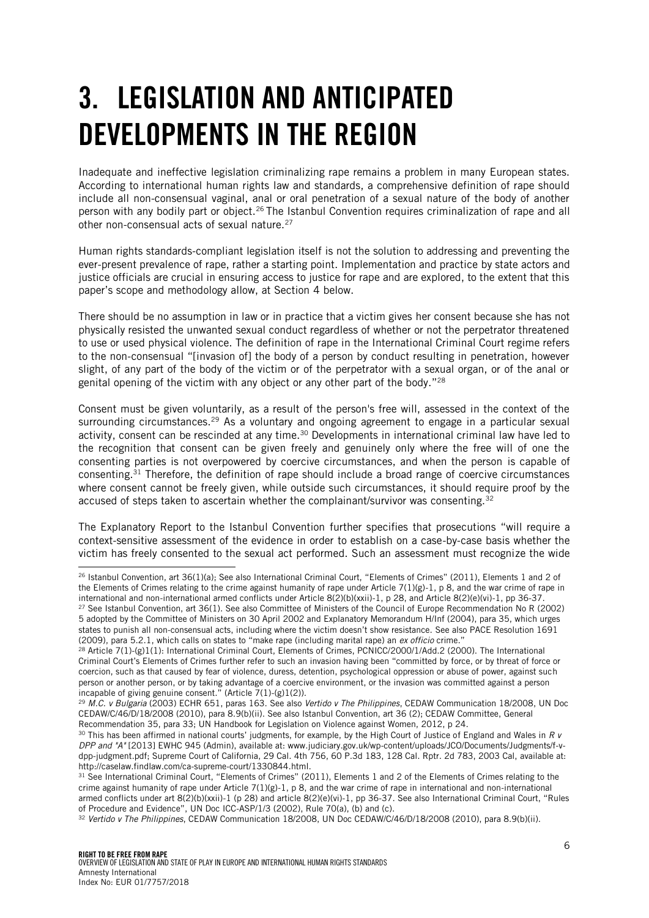# <span id="page-5-0"></span>3. LEGISLATION AND ANTICIPATED DEVELOPMENTS IN THE REGION

Inadequate and ineffective legislation criminalizing rape remains a problem in many European states. According to international human rights law and standards, a comprehensive definition of rape should include all non-consensual vaginal, anal or oral penetration of a sexual nature of the body of another person with any bodily part or object.<sup>26</sup> The Istanbul Convention requires criminalization of rape and all other non-consensual acts of sexual nature.<sup>27</sup>

Human rights standards-compliant legislation itself is not the solution to addressing and preventing the ever-present prevalence of rape, rather a starting point. Implementation and practice by state actors and justice officials are crucial in ensuring access to justice for rape and are explored, to the extent that this paper's scope and methodology allow, at Section 4 below.

There should be no assumption in law or in practice that a victim gives her consent because she has not physically resisted the unwanted sexual conduct regardless of whether or not the perpetrator threatened to use or used physical violence. The definition of rape in the International Criminal Court regime refers to the non-consensual "[invasion of] the body of a person by conduct resulting in penetration, however slight, of any part of the body of the victim or of the perpetrator with a sexual organ, or of the anal or genital opening of the victim with any object or any other part of the body."<sup>28</sup>

Consent must be given voluntarily, as a result of the person's free will, assessed in the context of the surrounding circumstances.<sup>29</sup> As a voluntary and ongoing agreement to engage in a particular sexual activity, consent can be rescinded at any time.<sup>30</sup> Developments in international criminal law have led to the recognition that consent can be given freely and genuinely only where the free will of one the consenting parties is not overpowered by coercive circumstances, and when the person is capable of consenting.<sup>31</sup> Therefore, the definition of rape should include a broad range of coercive circumstances where consent cannot be freely given, while outside such circumstances, it should require proof by the accused of steps taken to ascertain whether the complainant/survivor was consenting.<sup>32</sup>

The Explanatory Report to the Istanbul Convention further specifies that prosecutions "will require a context-sensitive assessment of the evidence in order to establish on a case-by-case basis whether the victim has freely consented to the sexual act performed. Such an assessment must recognize the wide

j <sup>26</sup> Istanbul Convention, art 36(1)(a); See also International Criminal Court, "Elements of Crimes" (2011), Elements 1 and 2 of the Elements of Crimes relating to the crime against humanity of rape under Article 7(1)(g)-1, p 8, and the war crime of rape in international and non-international armed conflicts under Article 8(2)(b)(xxii)-1, p 28, and Article 8(2)(e)(vi)-1, pp 36-37. <sup>27</sup> See Istanbul Convention, art 36(1). See also Committee of Ministers of the Council of Europe Recommendation No R (2002) 5 adopted by the Committee of Ministers on 30 April 2002 and Explanatory Memorandum H/Inf (2004), para 35, which urges states to punish all non-consensual acts, including where the victim doesn't show resistance. See also PACE Resolution 1691 (2009), para 5.2.1, which calls on states to "make rape (including marital rape) an *ex officio* crime."

<sup>28</sup> Article 7(1)-(g)1(1): International Criminal Court, Elements of Crimes, PCNICC/2000/1/Add.2 (2000). The International Criminal Court's Elements of Crimes further refer to such an invasion having been "committed by force, or by threat of force or coercion, such as that caused by fear of violence, duress, detention, psychological oppression or abuse of power, against such person or another person, or by taking advantage of a coercive environment, or the invasion was committed against a person incapable of giving genuine consent." (Article 7(1)-(g)1(2)).

<sup>29</sup> *M.C. v Bulgaria* (2003) ECHR 651, paras 163. See also *Vertido v The Philippines*, CEDAW Communication 18/2008, UN Doc CEDAW/C/46/D/18/2008 (2010), para 8.9(b)(ii). See also Istanbul Convention, art 36 (2); CEDAW Committee, General Recommendation 35, para 33; UN Handbook for Legislation on Violence against Women, 2012, p 24.

<sup>30</sup> This has been affirmed in national courts' judgments, for example, by the High Court of Justice of England and Wales in *R v DPP and "A"* [2013] EWHC 945 (Admin), available at: www.judiciary.gov.uk/wp-content/uploads/JCO/Documents/Judgments/f-vdpp-judgment.pdf; Supreme Court of California, 29 Cal. 4th 756, 60 P.3d 183, 128 Cal. Rptr. 2d 783, 2003 Cal, available at: http://caselaw.findlaw.com/ca-supreme-court/1330844.html.

<sup>&</sup>lt;sup>31</sup> See International Criminal Court, "Elements of Crimes" (2011), Elements 1 and 2 of the Elements of Crimes relating to the crime against humanity of rape under Article  $7(1)(g)-1$ , p 8, and the war crime of rape in international and non-international armed conflicts under art 8(2)(b)(xxii)-1 (p 28) and article 8(2)(e)(vi)-1, pp 36-37. See also International Criminal Court, "Rules of Procedure and Evidence", UN Doc ICC-ASP/1/3 (2002), Rule 70(a), (b) and (c).

<sup>32</sup> *Vertido v The Philippines*, CEDAW Communication 18/2008, UN Doc CEDAW/C/46/D/18/2008 (2010), para 8.9(b)(ii).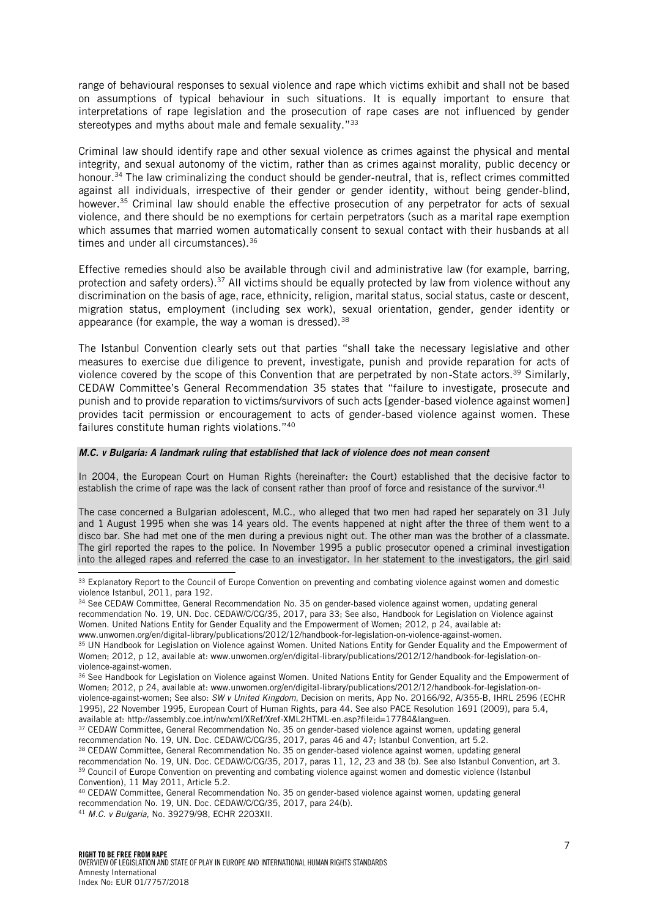range of behavioural responses to sexual violence and rape which victims exhibit and shall not be based on assumptions of typical behaviour in such situations. It is equally important to ensure that interpretations of rape legislation and the prosecution of rape cases are not influenced by gender stereotypes and myths about male and female sexuality."<sup>33</sup>

Criminal law should identify rape and other sexual violence as crimes against the physical and mental integrity, and sexual autonomy of the victim, rather than as crimes against morality, public decency or honour.<sup>34</sup> The law criminalizing the conduct should be gender-neutral, that is, reflect crimes committed against all individuals, irrespective of their gender or gender identity, without being gender-blind, however. <sup>35</sup> Criminal law should enable the effective prosecution of any perpetrator for acts of sexual violence, and there should be no exemptions for certain perpetrators (such as a marital rape exemption which assumes that married women automatically consent to sexual contact with their husbands at all times and under all circumstances).<sup>36</sup>

Effective remedies should also be available through civil and administrative law (for example, barring, protection and safety orders).<sup>37</sup> All victims should be equally protected by law from violence without any discrimination on the basis of age, race, ethnicity, religion, marital status, social status, caste or descent, migration status, employment (including sex work), sexual orientation, gender, gender identity or appearance (for example, the way a woman is dressed).<sup>38</sup>

The Istanbul Convention clearly sets out that parties "shall take the necessary legislative and other measures to exercise due diligence to prevent, investigate, punish and provide reparation for acts of violence covered by the scope of this Convention that are perpetrated by non-State actors.<sup>39</sup> Similarly, CEDAW Committee's General Recommendation 35 states that "failure to investigate, prosecute and punish and to provide reparation to victims/survivors of such acts [gender-based violence against women] provides tacit permission or encouragement to acts of gender-based violence against women. These failures constitute human rights violations."<sup>40</sup>

#### *M.C. v Bulgaria: A landmark ruling that established that lack of violence does not mean consent*

In 2004, the European Court on Human Rights (hereinafter: the Court) established that the decisive factor to establish the crime of rape was the lack of consent rather than proof of force and resistance of the survivor.<sup>41</sup>

The case concerned a Bulgarian adolescent, M.C., who alleged that two men had raped her separately on 31 July and 1 August 1995 when she was 14 years old. The events happened at night after the three of them went to a disco bar. She had met one of the men during a previous night out. The other man was the brother of a classmate. The girl reported the rapes to the police. In November 1995 a public prosecutor opened a criminal investigation into the alleged rapes and referred the case to an investigator. In her statement to the investigators, the girl said

j

<sup>&</sup>lt;sup>33</sup> Explanatory Report to the Council of Europe Convention on preventing and combating violence against women and domestic violence Istanbul, 2011, para 192.

<sup>34</sup> See CEDAW Committee, General Recommendation No. 35 on gender-based violence against women, updating general recommendation No. 19, UN. Doc. CEDAW/C/CG/35, 2017, para 33; See also, Handbook for Legislation on Violence against Women. United Nations Entity for Gender Equality and the Empowerment of Women; 2012, p 24, available at: www.unwomen.org/en/digital-library/publications/2012/12/handbook-for-legislation-on-violence-against-women.

<sup>35</sup> UN Handbook for Legislation on Violence against Women. United Nations Entity for Gender Equality and the Empowerment of Women; 2012, p 12, available at: www.unwomen.org/en/digital-library/publications/2012/12/handbook-for-legislation-onviolence-against-women.

<sup>&</sup>lt;sup>36</sup> See Handbook for Legislation on Violence against Women. United Nations Entity for Gender Equality and the Empowerment of Women; 2012, p 24, available at: www.unwomen.org/en/digital-library/publications/2012/12/handbook-for-legislation-onviolence-against-women; See also: *SW v United Kingdom*, Decision on merits, App No. 20166/92, A/355-B, IHRL 2596 (ECHR 1995), 22 November 1995, European Court of Human Rights, para 44. See also PACE Resolution 1691 (2009), para 5.4, available at: http://assembly.coe.int/nw/xml/XRef/Xref-XML2HTML-en.asp?fileid=17784&lang=en.

<sup>37</sup> CEDAW Committee, General Recommendation No. 35 on gender-based violence against women, updating general

recommendation No. 19, UN. Doc. CEDAW/C/CG/35, 2017, paras 46 and 47; Istanbul Convention, art 5.2.

<sup>38</sup> CEDAW Committee, General Recommendation No. 35 on gender-based violence against women, updating general

recommendation No. 19, UN. Doc. CEDAW/C/CG/35, 2017, paras 11, 12, 23 and 38 (b). See also Istanbul Convention, art 3. <sup>39</sup> Council of Europe Convention on preventing and combating violence against women and domestic violence (Istanbul Convention), 11 May 2011, Article 5.2.

<sup>40</sup> CEDAW Committee, General Recommendation No. 35 on gender-based violence against women, updating general recommendation No. 19, UN. Doc. CEDAW/C/CG/35, 2017, para 24(b).

<sup>41</sup> *M.C. v Bulgaria*, No. 39279/98, ECHR 2203XII.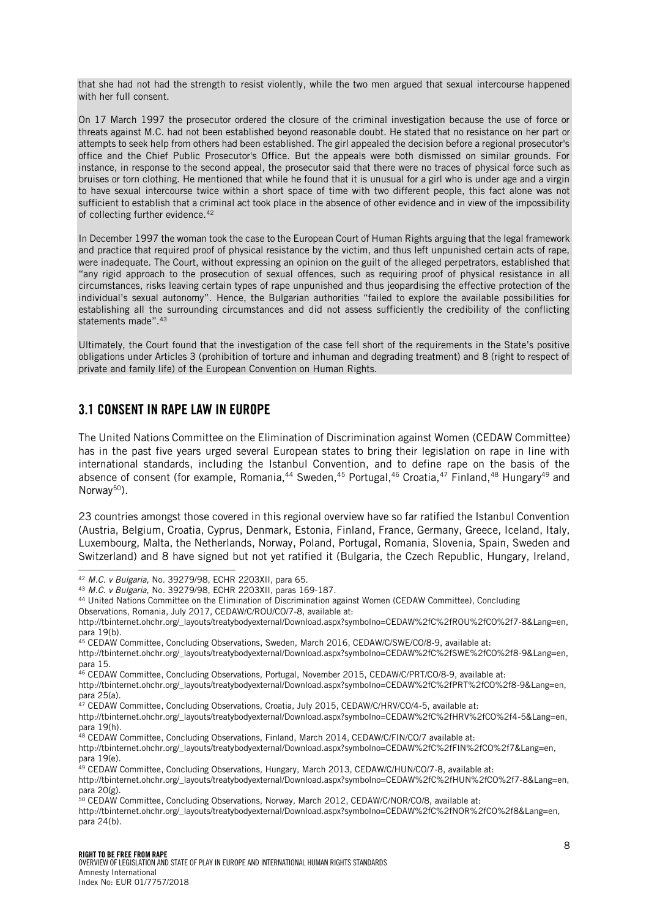that she had not had the strength to resist violently, while the two men argued that sexual intercourse happened with her full consent.

On 17 March 1997 the prosecutor ordered the closure of the criminal investigation because the use of force or threats against M.C. had not been established beyond reasonable doubt. He stated that no resistance on her part or attempts to seek help from others had been established. The girl appealed the decision before a regional prosecutor's office and the Chief Public Prosecutor's Office. But the appeals were both dismissed on similar grounds. For instance, in response to the second appeal, the prosecutor said that there were no traces of physical force such as bruises or torn clothing. He mentioned that while he found that it is unusual for a girl who is under age and a virgin to have sexual intercourse twice within a short space of time with two different people, this fact alone was not sufficient to establish that a criminal act took place in the absence of other evidence and in view of the impossibility of collecting further evidence.<sup>42</sup>

In December 1997 the woman took the case to the European Court of Human Rights arguing that the legal framework and practice that required proof of physical resistance by the victim, and thus left unpunished certain acts of rape, were inadequate. The Court, without expressing an opinion on the guilt of the alleged perpetrators, established that "any rigid approach to the prosecution of sexual offences, such as requiring proof of physical resistance in all circumstances, risks leaving certain types of rape unpunished and thus jeopardising the effective protection of the individual's sexual autonomy". Hence, the Bulgarian authorities "failed to explore the available possibilities for establishing all the surrounding circumstances and did not assess sufficiently the credibility of the conflicting statements made".<sup>43</sup>

Ultimately, the Court found that the investigation of the case fell short of the requirements in the State's positive obligations under Articles 3 (prohibition of torture and inhuman and degrading treatment) and 8 (right to respect of private and family life) of the European Convention on Human Rights.

#### <span id="page-7-0"></span>3.1 CONSENT IN RAPE LAW IN EUROPE

The United Nations Committee on the Elimination of Discrimination against Women (CEDAW Committee) has in the past five years urged several European states to bring their legislation on rape in line with international standards, including the Istanbul Convention, and to define rape on the basis of the absence of consent (for example, Romania,<sup>44</sup> Sweden,<sup>45</sup> Portugal,<sup>46</sup> Croatia,<sup>47</sup> Finland,<sup>48</sup> Hungary<sup>49</sup> and Norway $50$ ).

23 countries amongst those covered in this regional overview have so far ratified the Istanbul Convention (Austria, Belgium, Croatia, Cyprus, Denmark, Estonia, Finland, France, Germany, Greece, Iceland, Italy, Luxembourg, Malta, the Netherlands, Norway, Poland, Portugal, Romania, Slovenia, Spain, Sweden and Switzerland) and 8 have signed but not yet ratified it (Bulgaria, the Czech Republic, Hungary, Ireland,

Observations, Romania, July 2017, CEDAW/C/ROU/CO/7-8, available at:

para 25(a).

<sup>42</sup> *M.C. v Bulgaria*, No. 39279/98, ECHR 2203XII, para 65.

<sup>43</sup> *M.C. v Bulgaria*, No. 39279/98, ECHR 2203XII, paras 169-187.

<sup>44</sup> United Nations Committee on the Elimination of Discrimination against Women (CEDAW Committee), Concluding

http://tbinternet.ohchr.org/\_layouts/treatybodyexternal/Download.aspx?symbolno=CEDAW%2fC%2fROU%2fCO%2f7-8&Lang=en, para 19(b).

<sup>45</sup> CEDAW Committee, Concluding Observations, Sweden, March 2016, CEDAW/C/SWE/CO/8-9, available at:

http://tbinternet.ohchr.org/\_layouts/treatybodyexternal/Download.aspx?symbolno=CEDAW%2fC%2fSWE%2fCO%2f8-9&Lang=en, para 15.

<sup>46</sup> CEDAW Committee, Concluding Observations, Portugal, November 2015, CEDAW/C/PRT/CO/8-9, available at: http://tbinternet.ohchr.org/\_layouts/treatybodyexternal/Download.aspx?symbolno=CEDAW%2fC%2fPRT%2fCO%2f8-9&Lang=en,

<sup>47</sup> CEDAW Committee, Concluding Observations, Croatia, July 2015, CEDAW/C/HRV/CO/4-5, available at:

http://tbinternet.ohchr.org/\_layouts/treatybodyexternal/Download.aspx?symbolno=CEDAW%2fC%2fHRV%2fCO%2f4-5&Lang=en, para 19(h).

<sup>48</sup> CEDAW Committee, Concluding Observations, Finland, March 2014, CEDAW/C/FIN/CO/7 available at:

http://tbinternet.ohchr.org/\_layouts/treatybodyexternal/Download.aspx?symbolno=CEDAW%2fC%2fFIN%2fCO%2f7&Lang=en, para 19(e).

<sup>&</sup>lt;sup>49</sup> CEDAW Committee, Concluding Observations, Hungary, March 2013, CEDAW/C/HUN/CO/7-8, available at: http://tbinternet.ohchr.org/\_layouts/treatybodyexternal/Download.aspx?symbolno=CEDAW%2fC%2fHUN%2fCO%2f7-8&Lang=en, para 20(g).

 $50$  CEDAW Committee, Concluding Observations, Norway, March 2012, CEDAW/C/NOR/CO/8, available at:

http://tbinternet.ohchr.org/\_layouts/treatybodyexternal/Download.aspx?symbolno=CEDAW%2fC%2fNOR%2fC0%2f8&Lang=en, para 24(b).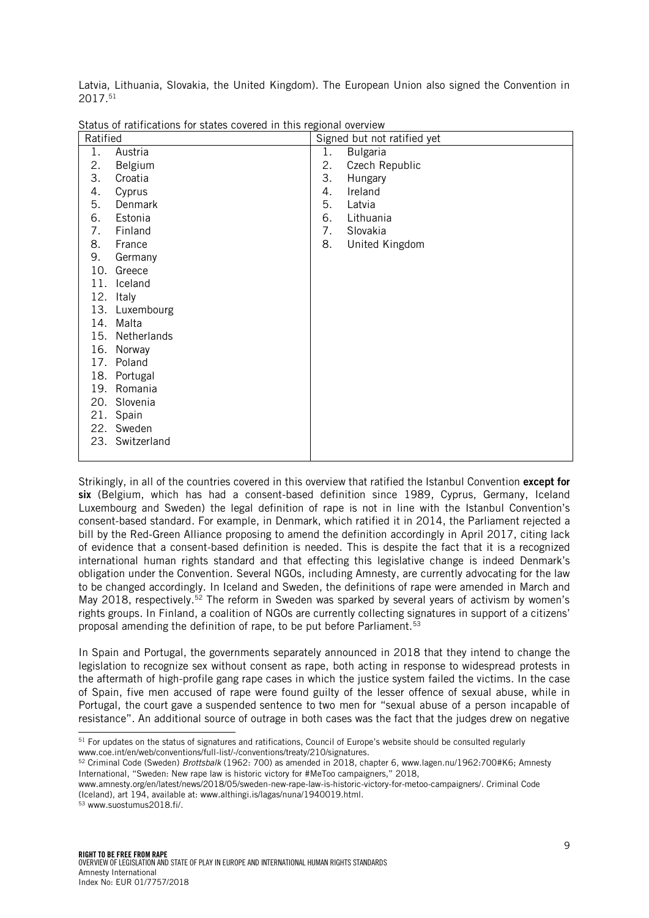Latvia, Lithuania, Slovakia, the United Kingdom). The European Union also signed the Convention in 2017. 51

| Ratified |                | Signed but not ratified yet |                 |  |  |  |
|----------|----------------|-----------------------------|-----------------|--|--|--|
| 1.       | Austria        | 1.                          | <b>Bulgaria</b> |  |  |  |
| 2.       | Belgium        | 2.                          | Czech Republic  |  |  |  |
| 3.       | Croatia        | 3.                          | Hungary         |  |  |  |
| 4.       | Cyprus         | 4.                          | Ireland         |  |  |  |
| 5.       | Denmark        | 5.                          | Latvia          |  |  |  |
| 6.       | Estonia        | 6.                          | Lithuania       |  |  |  |
| 7.       | Finland        | 7.                          | Slovakia        |  |  |  |
| 8.       | France         | 8.                          | United Kingdom  |  |  |  |
| 9.       | Germany        |                             |                 |  |  |  |
|          | 10. Greece     |                             |                 |  |  |  |
| 11.      | Iceland        |                             |                 |  |  |  |
| 12.      | Italy          |                             |                 |  |  |  |
|          | 13. Luxembourg |                             |                 |  |  |  |
| 14.      | Malta          |                             |                 |  |  |  |
| 15.      | Netherlands    |                             |                 |  |  |  |
| 16.      | Norway         |                             |                 |  |  |  |
|          | 17. Poland     |                             |                 |  |  |  |
|          | 18. Portugal   |                             |                 |  |  |  |
| 19.      | Romania        |                             |                 |  |  |  |
|          | 20. Slovenia   |                             |                 |  |  |  |
|          | 21. Spain      |                             |                 |  |  |  |
| 22.      | Sweden         |                             |                 |  |  |  |
| 23.      | Switzerland    |                             |                 |  |  |  |
|          |                |                             |                 |  |  |  |

Status of ratifications for states covered in this regional overview

Strikingly, in all of the countries covered in this overview that ratified the Istanbul Convention except for six (Belgium, which has had a consent-based definition since 1989, Cyprus, Germany, Iceland Luxembourg and Sweden) the legal definition of rape is not in line with the Istanbul Convention's consent-based standard. For example, in Denmark, which ratified it in 2014, the Parliament rejected a bill by the Red-Green Alliance proposing to amend the definition accordingly in April 2017, citing lack of evidence that a consent-based definition is needed. This is despite the fact that it is a recognized international human rights standard and that effecting this legislative change is indeed Denmark's obligation under the Convention. Several NGOs, including Amnesty, are currently advocating for the law to be changed accordingly. In Iceland and Sweden, the definitions of rape were amended in March and May 2018, respectively.<sup>52</sup> The reform in Sweden was sparked by several years of activism by women's rights groups. In Finland, a coalition of NGOs are currently collecting signatures in support of a citizens' proposal amending the definition of rape, to be put before Parliament.<sup>53</sup>

In Spain and Portugal, the governments separately announced in 2018 that they intend to change the legislation to recognize sex without consent as rape, both acting in response to widespread protests in the aftermath of high-profile gang rape cases in which the justice system failed the victims. In the case of Spain, five men accused of rape were found guilty of the lesser offence of sexual abuse, while in Portugal, the court gave a suspended sentence to two men for "sexual abuse of a person incapable of resistance". An additional source of outrage in both cases was the fact that the judges drew on negative

j <sup>51</sup> For updates on the status of signatures and ratifications, Council of Europe's website should be consulted regularly www.coe.int/en/web/conventions/full-list/-/conventions/treaty/210/signatures.

<sup>52</sup> Criminal Code (Sweden) *Brottsbalk* (1962: 700) as amended in 2018, chapter 6, www.lagen.nu/1962:700#K6; Amnesty International, "Sweden: New rape law is historic victory for #MeToo campaigners," 2018,

www.amnesty.org/en/latest/news/2018/05/sweden-new-rape-law-is-historic-victory-for-metoo-campaigners/. Criminal Code (Iceland), art 194, available at: www.althingi.is/lagas/nuna/1940019.html.

<sup>53</sup> www.suostumus2018.fi/.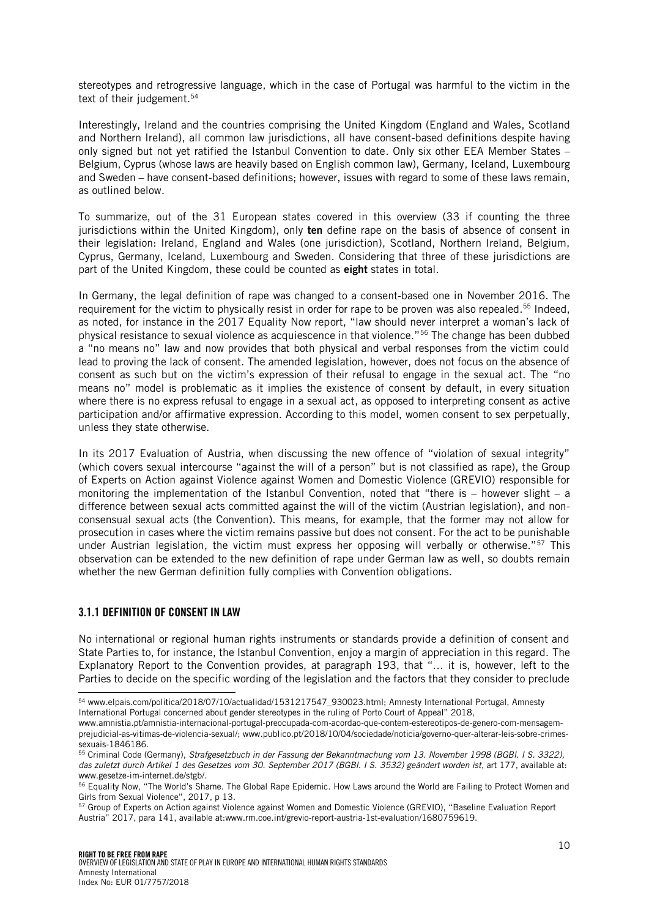stereotypes and retrogressive language, which in the case of Portugal was harmful to the victim in the text of their judgement. 54

Interestingly, Ireland and the countries comprising the United Kingdom (England and Wales, Scotland and Northern Ireland), all common law jurisdictions, all have consent-based definitions despite having only signed but not yet ratified the Istanbul Convention to date. Only six other EEA Member States – Belgium, Cyprus (whose laws are heavily based on English common law), Germany, Iceland, Luxembourg and Sweden – have consent-based definitions; however, issues with regard to some of these laws remain, as outlined below.

To summarize, out of the 31 European states covered in this overview (33 if counting the three jurisdictions within the United Kingdom), only ten define rape on the basis of absence of consent in their legislation: Ireland, England and Wales (one jurisdiction), Scotland, Northern Ireland, Belgium, Cyprus, Germany, Iceland, Luxembourg and Sweden. Considering that three of these jurisdictions are part of the United Kingdom, these could be counted as eight states in total.

In Germany, the legal definition of rape was changed to a consent-based one in November 2016. The requirement for the victim to physically resist in order for rape to be proven was also repealed.<sup>55</sup> Indeed, as noted, for instance in the 2017 Equality Now report, "law should never interpret a woman's lack of physical resistance to sexual violence as acquiescence in that violence."<sup>56</sup> The change has been dubbed a "no means no" law and now provides that both physical and verbal responses from the victim could lead to proving the lack of consent. The amended legislation, however, does not focus on the absence of consent as such but on the victim's expression of their refusal to engage in the sexual act. The "no means no" model is problematic as it implies the existence of consent by default, in every situation where there is no express refusal to engage in a sexual act, as opposed to interpreting consent as active participation and/or affirmative expression. According to this model, women consent to sex perpetually, unless they state otherwise.

In its 2017 Evaluation of Austria, when discussing the new offence of "violation of sexual integrity" (which covers sexual intercourse "against the will of a person" but is not classified as rape), the Group of Experts on Action against Violence against Women and Domestic Violence (GREVIO) responsible for monitoring the implementation of the Istanbul Convention, noted that "there is – however slight – a difference between sexual acts committed against the will of the victim (Austrian legislation), and nonconsensual sexual acts (the Convention). This means, for example, that the former may not allow for prosecution in cases where the victim remains passive but does not consent. For the act to be punishable under Austrian legislation, the victim must express her opposing will verbally or otherwise."<sup>57</sup> This observation can be extended to the new definition of rape under German law as well, so doubts remain whether the new German definition fully complies with Convention obligations.

#### <span id="page-9-0"></span>3.1.1 DEFINITION OF CONSENT IN LAW

l

No international or regional human rights instruments or standards provide a definition of consent and State Parties to, for instance, the Istanbul Convention, enjoy a margin of appreciation in this regard. The Explanatory Report to the Convention provides, at paragraph 193, that "… it is, however, left to the Parties to decide on the specific wording of the legislation and the factors that they consider to preclude

<sup>54</sup> www.elpais.com/politica/2018/07/10/actualidad/1531217547\_930023.html; Amnesty International Portugal, Amnesty International Portugal concerned about gender stereotypes in the ruling of Porto Court of Appeal" 2018,

www.amnistia.pt/amnistia-internacional-portugal-preocupada-com-acordao-que-contem-estereotipos-de-genero-com-mensagemprejudicial-as-vitimas-de-violencia-sexual/; www.publico.pt/2018/10/04/sociedade/noticia/governo-quer-alterar-leis-sobre-crimessexuais-1846186.

<sup>55</sup> Criminal Code (Germany), *Strafgesetzbuch in der Fassung der Bekanntmachung vom 13. November 1998 (BGBl. I S. 3322), das zuletzt durch Artikel 1 des Gesetzes vom 30. September 2017 (BGBl. I S. 3532) geändert worden ist*, art 177, available at: www.gesetze-im-internet.de/stgb/.

<sup>&</sup>lt;sup>56</sup> Equality Now, "The World's Shame. The Global Rape Epidemic. How Laws around the World are Failing to Protect Women and Girls from Sexual Violence", 2017, p 13.

<sup>57</sup> Group of Experts on Action against Violence against Women and Domestic Violence (GREVIO), "Baseline Evaluation Report Austria" 2017, para 141, available at:www.rm.coe.int/grevio-report-austria-1st-evaluation/1680759619.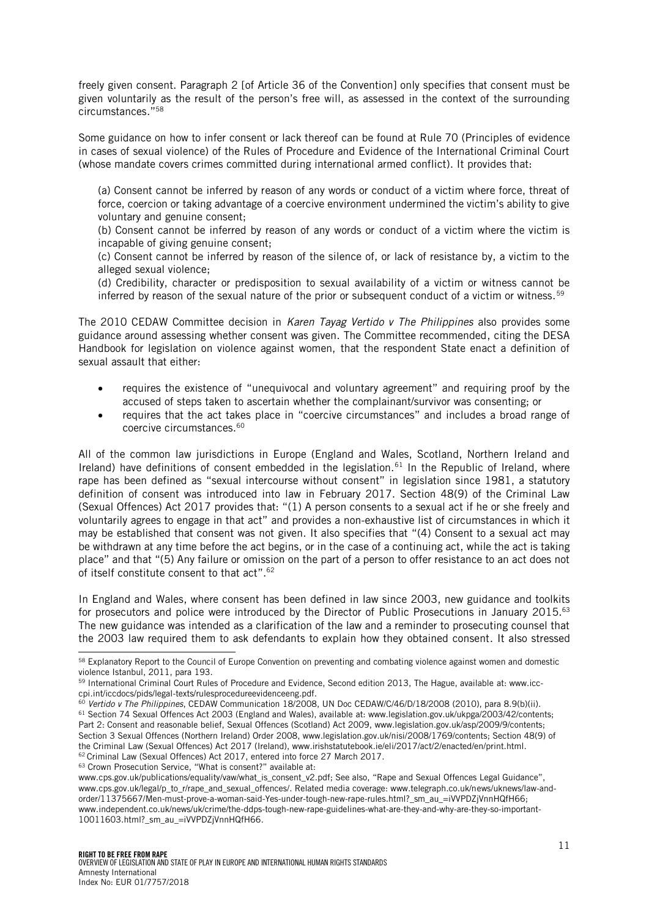freely given consent. Paragraph 2 [of Article 36 of the Convention] only specifies that consent must be given voluntarily as the result of the person's free will, as assessed in the context of the surrounding circumstances." 58

Some guidance on how to infer consent or lack thereof can be found at Rule 70 (Principles of evidence in cases of sexual violence) of the Rules of Procedure and Evidence of the International Criminal Court (whose mandate covers crimes committed during international armed conflict). It provides that:

(a) Consent cannot be inferred by reason of any words or conduct of a victim where force, threat of force, coercion or taking advantage of a coercive environment undermined the victim's ability to give voluntary and genuine consent;

(b) Consent cannot be inferred by reason of any words or conduct of a victim where the victim is incapable of giving genuine consent;

(c) Consent cannot be inferred by reason of the silence of, or lack of resistance by, a victim to the alleged sexual violence;

(d) Credibility, character or predisposition to sexual availability of a victim or witness cannot be inferred by reason of the sexual nature of the prior or subsequent conduct of a victim or witness.<sup>59</sup>

The 2010 CEDAW Committee decision in *Karen Tayag Vertido v The Philippines* also provides some guidance around assessing whether consent was given. The Committee recommended, citing the DESA Handbook for legislation on violence against women, that the respondent State enact a definition of sexual assault that either:

- requires the existence of "unequivocal and voluntary agreement" and requiring proof by the accused of steps taken to ascertain whether the complainant/survivor was consenting; or
- requires that the act takes place in "coercive circumstances" and includes a broad range of coercive circumstances.<sup>60</sup>

All of the common law jurisdictions in Europe (England and Wales, Scotland, Northern Ireland and Ireland) have definitions of consent embedded in the legislation.<sup>61</sup> In the Republic of Ireland, where rape has been defined as "sexual intercourse without consent" in legislation since 1981, a statutory definition of consent was introduced into law in February 2017. Section 48(9) of the Criminal Law (Sexual Offences) Act 2017 provides that: "(1) A person consents to a sexual act if he or she freely and voluntarily agrees to engage in that act" and provides a non-exhaustive list of circumstances in which it may be established that consent was not given. It also specifies that "(4) Consent to a sexual act may be withdrawn at any time before the act begins, or in the case of a continuing act, while the act is taking place" and that "(5) Any failure or omission on the part of a person to offer resistance to an act does not of itself constitute consent to that act". 62

In England and Wales, where consent has been defined in law since 2003, new guidance and toolkits for prosecutors and police were introduced by the Director of Public Prosecutions in January 2015. 63 The new guidance was intended as a clarification of the law and a reminder to prosecuting counsel that the 2003 law required them to ask defendants to explain how they obtained consent. It also stressed

<sup>&</sup>lt;sup>58</sup> Explanatory Report to the Council of Europe Convention on preventing and combating violence against women and domestic violence Istanbul, 2011, para 193.

<sup>&</sup>lt;sup>59</sup> International Criminal Court Rules of Procedure and Evidence, Second edition 2013, The Hague, available at: www.icccpi.int/iccdocs/pids/legal-texts/rulesprocedureevidenceeng.pdf.

<sup>60</sup> *Vertido v The Philippines*, CEDAW Communication 18/2008, UN Doc CEDAW/C/46/D/18/2008 (2010), para 8.9(b)(ii). <sup>61</sup> Section 74 Sexual Offences Act 2003 (England and Wales), available at: www.legislation.gov.uk/ukpga/2003/42/contents; Part 2: Consent and reasonable belief, Sexual Offences (Scotland) Act 2009, www.legislation.gov.uk/asp/2009/9/contents; Section 3 Sexual Offences (Northern Ireland) Order 2008, www.legislation.gov.uk/nisi/2008/1769/contents; Section 48(9) of the Criminal Law (Sexual Offences) Act 2017 (Ireland), www.irishstatutebook.ie/eli/2017/act/2/enacted/en/print.html. <sup>62</sup> Criminal Law (Sexual Offences) Act 2017, entered into force 27 March 2017.

<sup>63</sup> Crown Prosecution Service, "What is consent?" available at:

www.cps.gov.uk/publications/equality/vaw/what\_is\_consent\_v2.pdf; See also, "Rape and Sexual Offences Legal Guidance", www.cps.gov.uk/legal/p\_to\_r/rape\_and\_sexual\_offences/. Related media coverage: www.telegraph.co.uk/news/uknews/law-andorder/11375667/Men-must-prove-a-woman-said-Yes-under-tough-new-rape-rules.html?\_sm\_au\_=iVVPDZjVnnHQfH66; www.independent.co.uk/news/uk/crime/the-ddps-tough-new-rape-guidelines-what-are-they-and-why-are-they-so-important-10011603.html?\_sm\_au\_=iVVPDZjVnnHQfH66.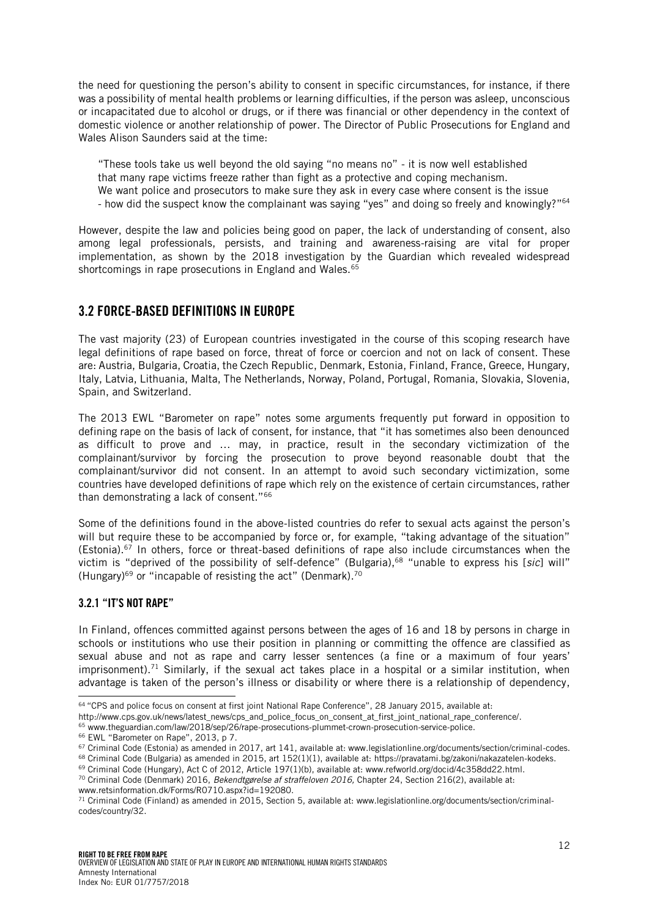the need for questioning the person's ability to consent in specific circumstances, for instance, if there was a possibility of mental health problems or learning difficulties, if the person was asleep, unconscious or incapacitated due to alcohol or drugs, or if there was financial or other dependency in the context of domestic violence or another relationship of power. The Director of Public Prosecutions for England and Wales Alison Saunders said at the time:

"These tools take us well beyond the old saying "no means no" - it is now well established

- that many rape victims freeze rather than fight as a protective and coping mechanism.
- We want police and prosecutors to make sure they ask in every case where consent is the issue
- how did the suspect know the complainant was saying "yes" and doing so freely and knowingly?"<sup>64</sup>

However, despite the law and policies being good on paper, the lack of understanding of consent, also among legal professionals, persists, and training and awareness-raising are vital for proper implementation, as shown by the 2018 investigation by the Guardian which revealed widespread shortcomings in rape prosecutions in England and Wales.<sup>65</sup>

### <span id="page-11-0"></span>3.2 FORCE-BASED DEFINITIONS IN EUROPE

The vast majority (23) of European countries investigated in the course of this scoping research have legal definitions of rape based on force, threat of force or coercion and not on lack of consent. These are: Austria, Bulgaria, Croatia, the Czech Republic, Denmark, Estonia, Finland, France, Greece, Hungary, Italy, Latvia, Lithuania, Malta, The Netherlands, Norway, Poland, Portugal, Romania, Slovakia, Slovenia, Spain, and Switzerland.

The 2013 EWL "Barometer on rape" notes some arguments frequently put forward in opposition to defining rape on the basis of lack of consent, for instance, that "it has sometimes also been denounced as difficult to prove and … may, in practice, result in the secondary victimization of the complainant/survivor by forcing the prosecution to prove beyond reasonable doubt that the complainant/survivor did not consent. In an attempt to avoid such secondary victimization, some countries have developed definitions of rape which rely on the existence of certain circumstances, rather than demonstrating a lack of consent."<sup>66</sup>

Some of the definitions found in the above-listed countries do refer to sexual acts against the person's will but require these to be accompanied by force or, for example, "taking advantage of the situation" (Estonia).<sup>67</sup> In others, force or threat-based definitions of rape also include circumstances when the victim is "deprived of the possibility of self-defence" (Bulgaria),<sup>68</sup> "unable to express his [*sic*] will" (Hungary) <sup>69</sup> or "incapable of resisting the act" (Denmark). 70

#### <span id="page-11-1"></span>3.2.1 "IT'S NOT RAPE"

In Finland, offences committed against persons between the ages of 16 and 18 by persons in charge in schools or institutions who use their position in planning or committing the offence are classified as sexual abuse and not as rape and carry lesser sentences (a fine or a maximum of four years' imprisonment).<sup>71</sup> Similarly, if the sexual act takes place in a hospital or a similar institution, when advantage is taken of the person's illness or disability or where there is a relationship of dependency,

http://www.cps.gov.uk/news/latest\_news/cps\_and\_police\_focus\_on\_consent\_at\_first\_joint\_national\_rape\_conference/.

j <sup>64</sup> "CPS and police focus on consent at first joint National Rape Conference", 28 January 2015, available at:

<sup>65</sup> www.theguardian.com/law/2018/sep/26/rape-prosecutions-plummet-crown-prosecution-service-police.

<sup>66</sup> EWL "Barometer on Rape", 2013, p 7.

<sup>67</sup> Criminal Code (Estonia) as amended in 2017, art 141, available at: www.legislationline.org/documents/section/criminal-codes.

<sup>&</sup>lt;sup>68</sup> Criminal Code (Bulgaria) as amended in 2015, art 152(1)(1), available at: https://pravatami.bg/zakoni/nakazatelen-kodeks.

<sup>69</sup> Criminal Code (Hungary), Act C of 2012, Article 197(1)(b), available at: www.refworld.org/docid/4c358dd22.html.

<sup>70</sup> Criminal Code (Denmark) 2016, *Bekendtgørelse af straffeloven 2016,* Chapter 24, Section 216(2), available at:

www.retsinformation.dk/Forms/R0710.aspx?id=192080.

 $^{71}$  Criminal Code (Finland) as amended in 2015, Section 5, available at: www.legislationline.org/documents/section/criminalcodes/country/32.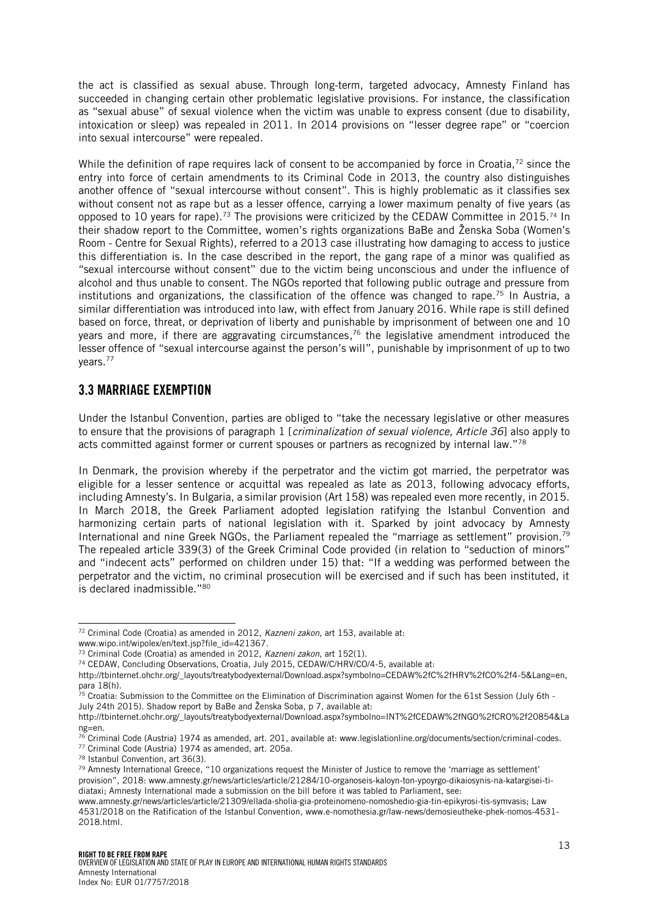the act is classified as sexual abuse. Through long-term, targeted advocacy, Amnesty Finland has succeeded in changing certain other problematic legislative provisions. For instance, the classification as "sexual abuse" of sexual violence when the victim was unable to express consent (due to disability, intoxication or sleep) was repealed in 2011. In 2014 provisions on "lesser degree rape" or "coercion into sexual intercourse" were repealed.

While the definition of rape requires lack of consent to be accompanied by force in Croatia,<sup>72</sup> since the entry into force of certain amendments to its Criminal Code in 2013, the country also distinguishes another offence of "sexual intercourse without consent". This is highly problematic as it classifies sex without consent not as rape but as a lesser offence, carrying a lower maximum penalty of five years (as opposed to 10 years for rape).<sup>73</sup> The provisions were criticized by the CEDAW Committee in 2015.<sup>74</sup> In their shadow report to the Committee, women's rights organizations BaBe and Ženska Soba (Women's Room - Centre for Sexual Rights), referred to a 2013 case illustrating how damaging to access to justice this differentiation is. In the case described in the report, the gang rape of a minor was qualified as "sexual intercourse without consent" due to the victim being unconscious and under the influence of alcohol and thus unable to consent. The NGOs reported that following public outrage and pressure from institutions and organizations, the classification of the offence was changed to rape.<sup>75</sup> In Austria, a similar differentiation was introduced into law, with effect from January 2016. While rape is still defined based on force, threat, or deprivation of liberty and punishable by imprisonment of between one and 10 years and more, if there are aggravating circumstances, $^{76}$  the legislative amendment introduced the lesser offence of "sexual intercourse against the person's will", punishable by imprisonment of up to two years.<sup>77</sup>

#### <span id="page-12-0"></span>3.3 MARRIAGE EXEMPTION

Under the Istanbul Convention, parties are obliged to "take the necessary legislative or other measures to ensure that the provisions of paragraph 1 [*criminalization of sexual violence, Article 36*] also apply to acts committed against former or current spouses or partners as recognized by internal law."<sup>78</sup>

In Denmark, the provision whereby if the perpetrator and the victim got married, the perpetrator was eligible for a lesser sentence or acquittal was repealed as late as 2013, following advocacy efforts, including Amnesty's. In Bulgaria, a similar provision (Art 158) was repealed even more recently, in 2015. In March 2018, the Greek Parliament adopted legislation ratifying the Istanbul Convention and harmonizing certain parts of national legislation with it. Sparked by joint advocacy by Amnesty International and nine Greek NGOs, the Parliament repealed the "marriage as settlement" provision.<sup>79</sup> The repealed article 339(3) of the Greek Criminal Code provided (in relation to "seduction of minors" and "indecent acts" performed on children under 15) that: "If a wedding was performed between the perpetrator and the victim, no criminal prosecution will be exercised and if such has been instituted, it is declared inadmissible." 80

l <sup>72</sup> Criminal Code (Croatia) as amended in 2012, *Kazneni zakon*, art 153, available at:

www.wipo.int/wipolex/en/text.jsp?file\_id=421367.

<sup>73</sup> Criminal Code (Croatia) as amended in 2012, *Kazneni zakon*, art 152(1).

<sup>74</sup> CEDAW, Concluding Observations, Croatia, July 2015, CEDAW/C/HRV/CO/4-5, available at:

http://tbinternet.ohchr.org/\_layouts/treatybodyexternal/Download.aspx?symbolno=CEDAW%2fC%2fHRV%2fCO%2f4-5&Lang=en, para 18(h).

 $75$  Croatia: Submission to the Committee on the Elimination of Discrimination against Women for the 61st Session (July 6th -July 24th 2015). Shadow report by BaBe and Ženska Soba, p 7, available at:

http://tbinternet.ohchr.org/\_layouts/treatybodyexternal/Download.aspx?symbolno=INT%2fCEDAW%2fNGO%2fCRO%2f20854&La ng=en.

<sup>&</sup>lt;sup>76</sup> Criminal Code (Austria) 1974 as amended, art. 201, available at: www.legislationline.org/documents/section/criminal-codes.

<sup>77</sup> Criminal Code (Austria) 1974 as amended, art. 205a.

<sup>78</sup> Istanbul Convention, art 36(3).

<sup>79</sup> Amnesty International Greece, "10 organizations request the Minister of Justice to remove the 'marriage as settlement' provision", 2018: www.amnesty.gr/news/articles/article/21284/10-organoseis-kaloyn-ton-ypoyrgo-dikaiosynis-na-katargisei-tidiataxi; Amnesty International made a submission on the bill before it was tabled to Parliament, see:

[www.amnesty.gr/news/articles/article/21309/ellada-sholia-gia-proteinomeno-nomoshedio-gia-tin-epikyrosi-tis-symvasis;](http://www.amnesty.gr/news/articles/article/21309/ellada-sholia-gia-proteinomeno-nomoshedio-gia-tin-epikyrosi-tis-symvasis) Law 4531/2018 on the Ratification of the Istanbul Convention, www.e-nomothesia.gr/law-news/demosieutheke-phek-nomos-4531- 2018.html.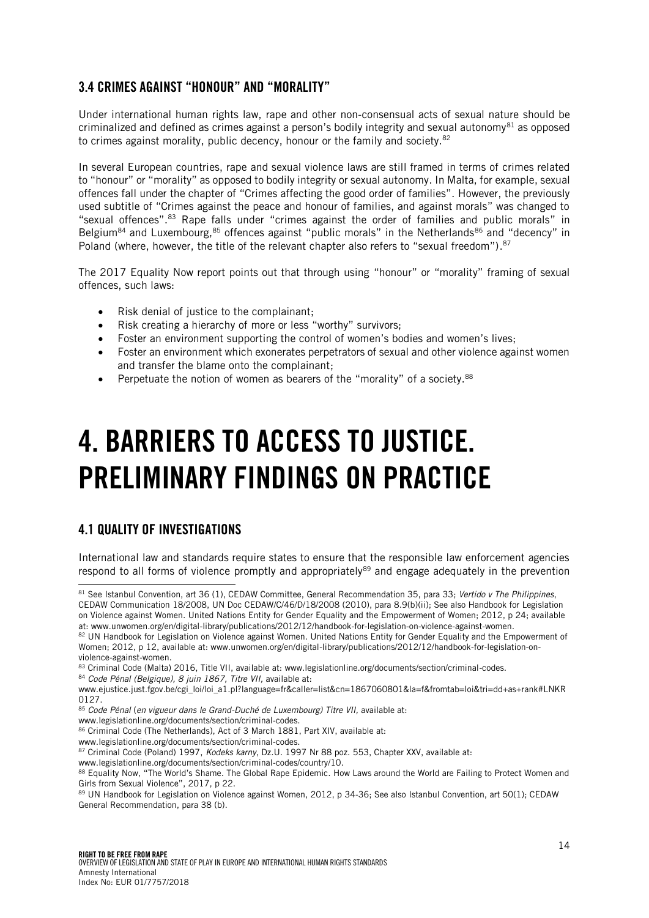### <span id="page-13-0"></span>3.4 CRIMES AGAINST "HONOUR" AND "MORALITY"

Under international human rights law, rape and other non-consensual acts of sexual nature should be criminalized and defined as crimes against a person's bodily integrity and sexual autonomy<sup>81</sup> as opposed to crimes against morality, public decency, honour or the family and society.<sup>82</sup>

In several European countries, rape and sexual violence laws are still framed in terms of crimes related to "honour" or "morality" as opposed to bodily integrity or sexual autonomy. In Malta, for example, sexual offences fall under the chapter of "Crimes affecting the good order of families". However, the previously used subtitle of "Crimes against the peace and honour of families, and against morals" was changed to "sexual offences".<sup>83</sup> Rape falls under "crimes against the order of families and public morals" in Belgium<sup>84</sup> and Luxembourg,  $85$  offences against "public morals" in the Netherlands  $86$  and "decency" in Poland (where, however, the title of the relevant chapter also refers to "sexual freedom").<sup>87</sup>

The 2017 Equality Now report points out that through using "honour" or "morality" framing of sexual offences, such laws:

- Risk denial of justice to the complainant;
- Risk creating a hierarchy of more or less "worthy" survivors;
- Foster an environment supporting the control of women's bodies and women's lives;
- Foster an environment which exonerates perpetrators of sexual and other violence against women and transfer the blame onto the complainant;
- Perpetuate the notion of women as bearers of the "morality" of a society.<sup>88</sup>

# <span id="page-13-1"></span>4. BARRIERS TO ACCESS TO JUSTICE. PRELIMINARY FINDINGS ON PRACTICE

# <span id="page-13-2"></span>4.1 QUALITY OF INVESTIGATIONS

International law and standards require states to ensure that the responsible law enforcement agencies respond to all forms of violence promptly and appropriately<sup>89</sup> and engage adequately in the prevention

- 86 Criminal Code (The Netherlands), Act of 3 March 1881, Part XIV, available at:
- www.legislationline.org/documents/section/criminal-codes.
- <sup>87</sup> Criminal Code (Poland) 1997, *Kodeks karny*, Dz.U. 1997 Nr 88 poz. 553, Chapter XXV, available at:
- www.legislationline.org/documents/section/criminal-codes/country/10.

l <sup>81</sup> See Istanbul Convention, art 36 (1), CEDAW Committee, General Recommendation 35, para 33; *Vertido v The Philippines*, CEDAW Communication 18/2008, UN Doc CEDAW/C/46/D/18/2008 (2010), para 8.9(b)(ii); See also Handbook for Legislation on Violence against Women. United Nations Entity for Gender Equality and the Empowerment of Women; 2012, p 24; available at: www.unwomen.org/en/digital-library/publications/2012/12/handbook-for-legislation-on-violence-against-women.

<sup>82</sup> UN Handbook for Legislation on Violence against Women. United Nations Entity for Gender Equality and the Empowerment of Women; 2012, p 12, available at: www.unwomen.org/en/digital-library/publications/2012/12/handbook-for-legislation-onviolence-against-women.

<sup>83</sup> Criminal Code (Malta) 2016, Title VII, available at: www.legislationline.org/documents/section/criminal-codes.

<sup>84</sup> *Code Pénal (Belgique), 8 juin 1867, Titre VII,* available at:

www.ejustice.just.fgov.be/cgi\_loi/loi\_a1.pl?language=fr&caller=list&cn=1867060801&la=f&fromtab=loi&tri=dd+as+rank#LNKR 0127.

<sup>85</sup> *Code Pénal* (*en vigueur dans le Grand-Duché de Luxembourg) Titre VII,* available at:

www.legislationline.org/documents/section/criminal-codes.

<sup>88</sup> Equality Now, "The World's Shame. The Global Rape Epidemic. How Laws around the World are Failing to Protect Women and Girls from Sexual Violence", 2017, p 22.

<sup>89</sup> UN Handbook for Legislation on Violence against Women, 2012, p 34-36; See also Istanbul Convention, art 50(1); CEDAW General Recommendation, para 38 (b).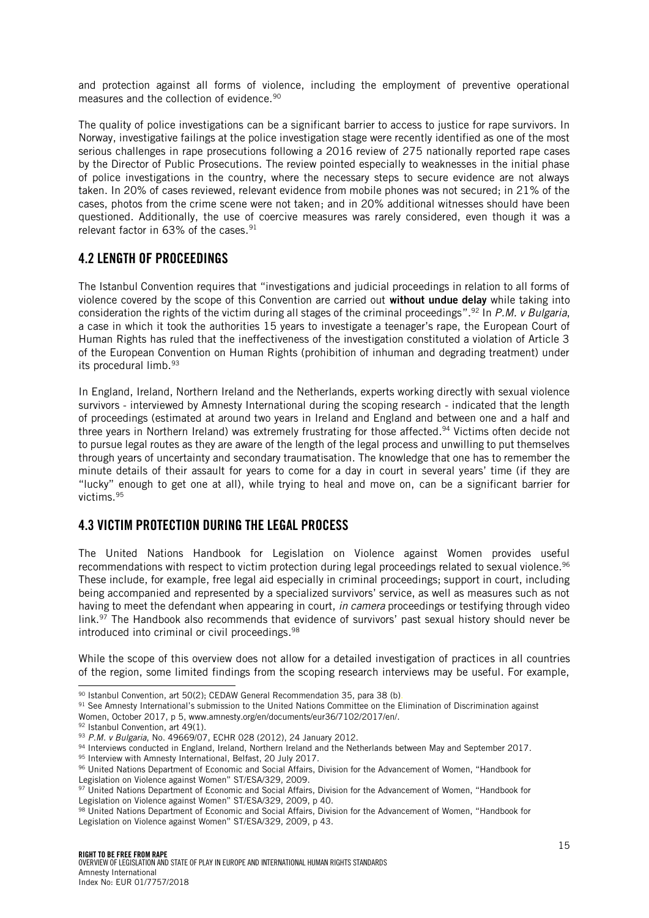and protection against all forms of violence, including the employment of preventive operational measures and the collection of evidence.<sup>90</sup>

The quality of police investigations can be a significant barrier to access to justice for rape survivors. In Norway, investigative failings at the police investigation stage were recently identified as one of the most serious challenges in rape prosecutions following a 2016 review of 275 nationally reported rape cases by the Director of Public Prosecutions. The review pointed especially to weaknesses in the initial phase of police investigations in the country, where the necessary steps to secure evidence are not always taken. In 20% of cases reviewed, relevant evidence from mobile phones was not secured; in 21% of the cases, photos from the crime scene were not taken; and in 20% additional witnesses should have been questioned. Additionally, the use of coercive measures was rarely considered, even though it was a relevant factor in 63% of the cases.<sup>91</sup>

### <span id="page-14-0"></span>4.2 LENGTH OF PROCEEDINGS

The Istanbul Convention requires that "investigations and judicial proceedings in relation to all forms of violence covered by the scope of this Convention are carried out **without undue delay** while taking into consideration the rights of the victim during all stages of the criminal proceedings". <sup>92</sup> In *P.M. v Bulgaria*, a case in which it took the authorities 15 years to investigate a teenager's rape, the European Court of Human Rights has ruled that the ineffectiveness of the investigation constituted a violation of Article 3 of the European Convention on Human Rights (prohibition of inhuman and degrading treatment) under its procedural limb.<sup>93</sup>

In England, Ireland, Northern Ireland and the Netherlands, experts working directly with sexual violence survivors - interviewed by Amnesty International during the scoping research - indicated that the length of proceedings (estimated at around two years in Ireland and England and between one and a half and three years in Northern Ireland) was extremely frustrating for those affected. <sup>94</sup> Victims often decide not to pursue legal routes as they are aware of the length of the legal process and unwilling to put themselves through years of uncertainty and secondary traumatisation. The knowledge that one has to remember the minute details of their assault for years to come for a day in court in several years' time (if they are "lucky" enough to get one at all), while trying to heal and move on, can be a significant barrier for victims. 95

### <span id="page-14-1"></span>4.3 VICTIM PROTECTION DURING THE LEGAL PROCESS

The United Nations Handbook for Legislation on Violence against Women provides useful recommendations with respect to victim protection during legal proceedings related to sexual violence.<sup>96</sup> These include, for example, free legal aid especially in criminal proceedings; support in court, including being accompanied and represented by a specialized survivors' service, as well as measures such as not having to meet the defendant when appearing in court, *in camera* proceedings or testifying through video link.<sup>97</sup> The Handbook also recommends that evidence of survivors' past sexual history should never be introduced into criminal or civil proceedings. 98

While the scope of this overview does not allow for a detailed investigation of practices in all countries of the region, some limited findings from the scoping research interviews may be useful. For example,

l <sup>90</sup> Istanbul Convention, art 50(2); CEDAW General Recommendation 35, para 38 (b).

<sup>91</sup> See Amnesty International's submission to the United Nations Committee on the Elimination of Discrimination against Women, October 2017, p 5, www.amnesty.org/en/documents/eur36/7102/2017/en/.

<sup>92</sup> Istanbul Convention, art 49(1).

<sup>93</sup> *P.M. v Bulgaria*, No. 49669/07, ECHR 028 (2012), 24 January 2012.

<sup>94</sup> Interviews conducted in England, Ireland, Northern Ireland and the Netherlands between May and September 2017.

<sup>95</sup> Interview with Amnesty International, Belfast, 20 July 2017.

<sup>96</sup> United Nations Department of Economic and Social Affairs, Division for the Advancement of Women, "Handbook for Legislation on Violence against Women" ST/ESA/329, 2009.

<sup>97</sup> United Nations Department of Economic and Social Affairs, Division for the Advancement of Women, "Handbook for Legislation on Violence against Women" ST/ESA/329, 2009, p 40.

<sup>98</sup> United Nations Department of Economic and Social Affairs, Division for the Advancement of Women, "Handbook for Legislation on Violence against Women" ST/ESA/329, 2009, p 43.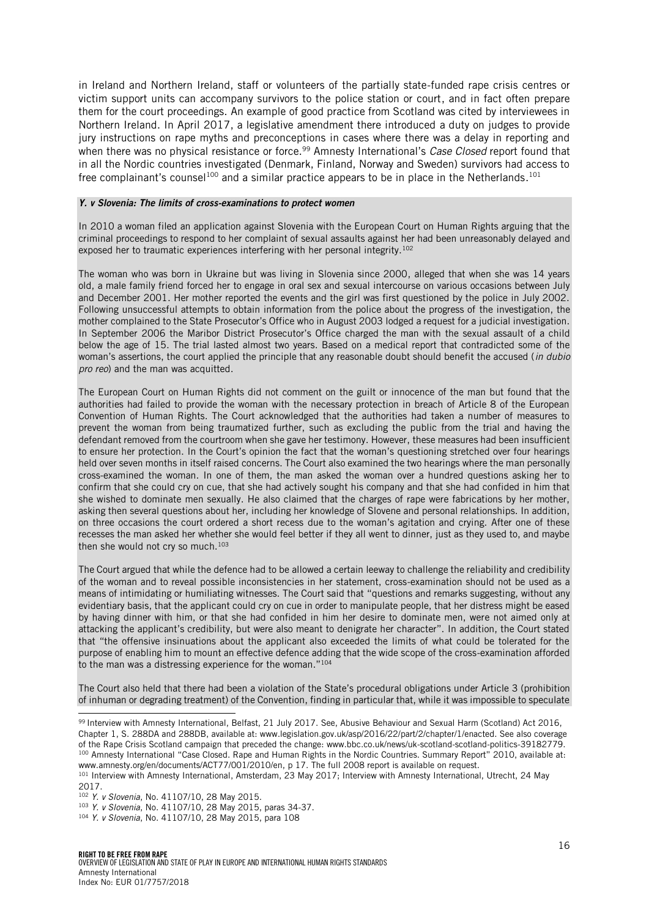in Ireland and Northern Ireland, staff or volunteers of the partially state-funded rape crisis centres or victim support units can accompany survivors to the police station or court, and in fact often prepare them for the court proceedings. An example of good practice from Scotland was cited by interviewees in Northern Ireland. In April 2017, a legislative amendment there introduced a duty on judges to provide jury instructions on rape myths and preconceptions in cases where there was a delay in reporting and when there was no physical resistance or force. <sup>99</sup> Amnesty International's *Case Closed* report found that in all the Nordic countries investigated (Denmark, Finland, Norway and Sweden) survivors had access to free complainant's counsel $^{100}$  and a similar practice appears to be in place in the Netherlands. $^{101}$ 

#### *Y. v Slovenia: The limits of cross-examinations to protect women*

In 2010 a woman filed an application against Slovenia with the European Court on Human Rights arguing that the criminal proceedings to respond to her complaint of sexual assaults against her had been unreasonably delayed and exposed her to traumatic experiences interfering with her personal integrity.<sup>102</sup>

The woman who was born in Ukraine but was living in Slovenia since 2000, alleged that when she was 14 years old, a male family friend forced her to engage in oral sex and sexual intercourse on various occasions between July and December 2001. Her mother reported the events and the girl was first questioned by the police in July 2002. Following unsuccessful attempts to obtain information from the police about the progress of the investigation, the mother complained to the State Prosecutor's Office who in August 2003 lodged a request for a judicial investigation. In September 2006 the Maribor District Prosecutor's Office charged the man with the sexual assault of a child below the age of 15. The trial lasted almost two years. Based on a medical report that contradicted some of the woman's assertions, the court applied the principle that any reasonable doubt should benefit the accused (*in dubio pro reo*) and the man was acquitted.

The European Court on Human Rights did not comment on the guilt or innocence of the man but found that the authorities had failed to provide the woman with the necessary protection in breach of Article 8 of the European Convention of Human Rights. The Court acknowledged that the authorities had taken a number of measures to prevent the woman from being traumatized further, such as excluding the public from the trial and having the defendant removed from the courtroom when she gave her testimony. However, these measures had been insufficient to ensure her protection. In the Court's opinion the fact that the woman's questioning stretched over four hearings held over seven months in itself raised concerns. The Court also examined the two hearings where the man personally cross-examined the woman. In one of them, the man asked the woman over a hundred questions asking her to confirm that she could cry on cue, that she had actively sought his company and that she had confided in him that she wished to dominate men sexually. He also claimed that the charges of rape were fabrications by her mother, asking then several questions about her, including her knowledge of Slovene and personal relationships. In addition, on three occasions the court ordered a short recess due to the woman's agitation and crying. After one of these recesses the man asked her whether she would feel better if they all went to dinner, just as they used to, and maybe then she would not cry so much.<sup>103</sup>

The Court argued that while the defence had to be allowed a certain leeway to challenge the reliability and credibility of the woman and to reveal possible inconsistencies in her statement, cross-examination should not be used as a means of intimidating or humiliating witnesses. The Court said that "questions and remarks suggesting, without any evidentiary basis, that the applicant could cry on cue in order to manipulate people, that her distress might be eased by having dinner with him, or that she had confided in him her desire to dominate men, were not aimed only at attacking the applicant's credibility, but were also meant to denigrate her character". In addition, the Court stated that "the offensive insinuations about the applicant also exceeded the limits of what could be tolerated for the purpose of enabling him to mount an effective defence adding that the wide scope of the cross-examination afforded to the man was a distressing experience for the woman."<sup>104</sup>

The Court also held that there had been a violation of the State's procedural obligations under Article 3 (prohibition of inhuman or degrading treatment) of the Convention, finding in particular that, while it was impossible to speculate

www.amnesty.org/en/documents/ACT77/001/2010/en, p 17. The full 2008 report is available on request.

j

<sup>99</sup> Interview with Amnesty International, Belfast, 21 July 2017. See, Abusive Behaviour and Sexual Harm (Scotland) Act 2016, Chapter 1, S. 288DA and 288DB, available at: www.legislation.gov.uk/asp/2016/22/part/2/chapter/1/enacted. See also coverage of the Rape Crisis Scotland campaign that preceded the change: www.bbc.co.uk/news/uk-scotland-scotland-politics-39182779. 100 Amnesty International "Case Closed. Rape and Human Rights in the Nordic Countries. Summary Report" 2010, available at:

<sup>101</sup> Interview with Amnesty International, Amsterdam, 23 May 2017; Interview with Amnesty International, Utrecht, 24 May 2017.

<sup>102</sup> *Y. v Slovenia*, No. 41107/10, 28 May 2015.

<sup>103</sup> *Y. v Slovenia*, No. 41107/10, 28 May 2015, paras 34-37.

<sup>104</sup> *Y. v Slovenia*, No. 41107/10, 28 May 2015, para 108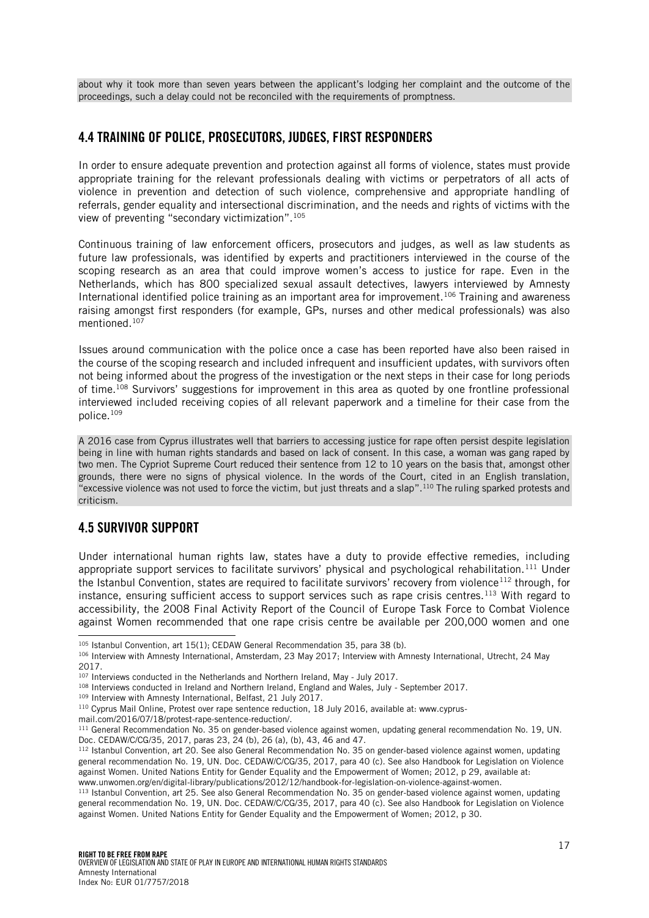about why it took more than seven years between the applicant's lodging her complaint and the outcome of the proceedings, such a delay could not be reconciled with the requirements of promptness.

### <span id="page-16-0"></span>4.4 TRAINING OF POLICE, PROSECUTORS, JUDGES, FIRST RESPONDERS

In order to ensure adequate prevention and protection against all forms of violence, states must provide appropriate training for the relevant professionals dealing with victims or perpetrators of all acts of violence in prevention and detection of such violence, comprehensive and appropriate handling of referrals, gender equality and intersectional discrimination, and the needs and rights of victims with the view of preventing "secondary victimization".<sup>105</sup>

Continuous training of law enforcement officers, prosecutors and judges, as well as law students as future law professionals, was identified by experts and practitioners interviewed in the course of the scoping research as an area that could improve women's access to justice for rape. Even in the Netherlands, which has 800 specialized sexual assault detectives, lawyers interviewed by Amnesty International identified police training as an important area for improvement.<sup>106</sup> Training and awareness raising amongst first responders (for example, GPs, nurses and other medical professionals) was also mentioned.<sup>107</sup>

Issues around communication with the police once a case has been reported have also been raised in the course of the scoping research and included infrequent and insufficient updates, with survivors often not being informed about the progress of the investigation or the next steps in their case for long periods of time. <sup>108</sup> Survivors' suggestions for improvement in this area as quoted by one frontline professional interviewed included receiving copies of all relevant paperwork and a timeline for their case from the police.<sup>109</sup>

A 2016 case from Cyprus illustrates well that barriers to accessing justice for rape often persist despite legislation being in line with human rights standards and based on lack of consent. In this case, a woman was gang raped by two men. The Cypriot Supreme Court reduced their sentence from 12 to 10 years on the basis that, amongst other grounds, there were no signs of physical violence. In the words of the Court, cited in an English translation, "excessive violence was not used to force the victim, but just threats and a slap". <sup>110</sup> The ruling sparked protests and criticism.

# <span id="page-16-1"></span>4.5 SURVIVOR SUPPORT

l

Under international human rights law, states have a duty to provide effective remedies, including appropriate support services to facilitate survivors' physical and psychological rehabilitation.<sup>111</sup> Under the Istanbul Convention, states are required to facilitate survivors' recovery from violence<sup>112</sup> through, for instance, ensuring sufficient access to support services such as rape crisis centres.<sup>113</sup> With regard to accessibility, the 2008 Final Activity Report of the Council of Europe Task Force to Combat Violence against Women recommended that one rape crisis centre be available per 200,000 women and one

mail.com/2016/07/18/protest-rape-sentence-reduction/.

<sup>105</sup> Istanbul Convention, art 15(1); CEDAW General Recommendation 35, para 38 (b).

<sup>106</sup> Interview with Amnesty International, Amsterdam, 23 May 2017; Interview with Amnesty International, Utrecht, 24 May 2017.

<sup>&</sup>lt;sup>107</sup> Interviews conducted in the Netherlands and Northern Ireland, May - July 2017.

<sup>108</sup> Interviews conducted in Ireland and Northern Ireland, England and Wales, July - September 2017.

<sup>109</sup> Interview with Amnesty International, Belfast, 21 July 2017.

<sup>&</sup>lt;sup>110</sup> Cyprus Mail Online, Protest over rape sentence reduction, 18 July 2016, available at: www.cyprus-

<sup>111</sup> General Recommendation No. 35 on gender-based violence against women, updating general recommendation No. 19, UN. Doc. CEDAW/C/CG/35, 2017, paras 23, 24 (b), 26 (a), (b), 43, 46 and 47.

<sup>112</sup> Istanbul Convention, art 20. See also General Recommendation No. 35 on gender-based violence against women, updating general recommendation No. 19, UN. Doc. CEDAW/C/CG/35, 2017, para 40 (c). See also Handbook for Legislation on Violence against Women. United Nations Entity for Gender Equality and the Empowerment of Women; 2012, p 29, available at: www.unwomen.org/en/digital-library/publications/2012/12/handbook-for-legislation-on-violence-against-women.

<sup>113</sup> Istanbul Convention, art 25. See also General Recommendation No. 35 on gender-based violence against women, updating general recommendation No. 19, UN. Doc. CEDAW/C/CG/35, 2017, para 40 (c). See also Handbook for Legislation on Violence against Women. United Nations Entity for Gender Equality and the Empowerment of Women; 2012, p 30.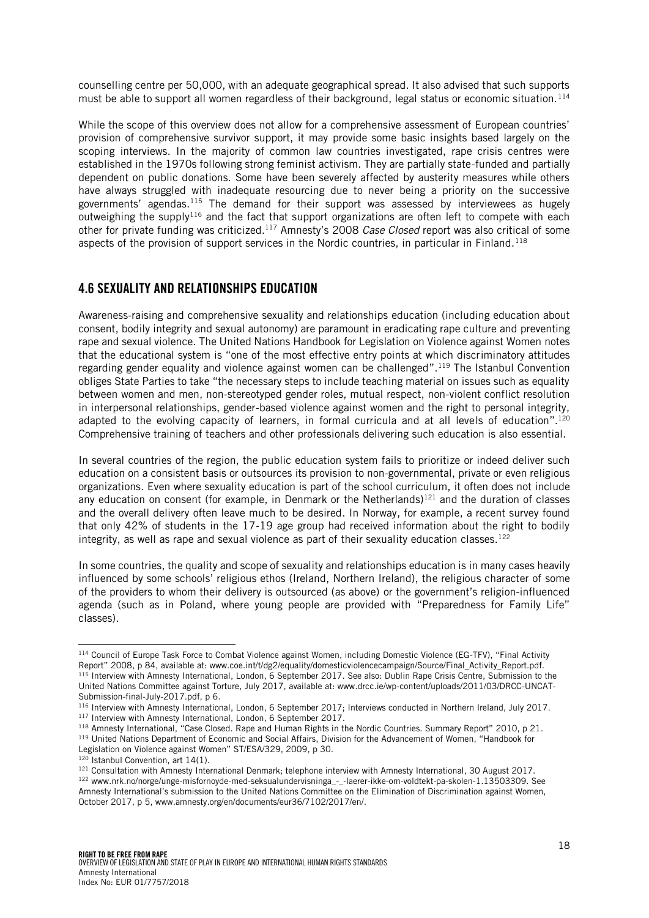counselling centre per 50,000, with an adequate geographical spread. It also advised that such supports must be able to support all women regardless of their background, legal status or economic situation.<sup>114</sup>

While the scope of this overview does not allow for a comprehensive assessment of European countries' provision of comprehensive survivor support, it may provide some basic insights based largely on the scoping interviews. In the majority of common law countries investigated, rape crisis centres were established in the 1970s following strong feminist activism. They are partially state-funded and partially dependent on public donations. Some have been severely affected by austerity measures while others have always struggled with inadequate resourcing due to never being a priority on the successive governments' agendas.<sup>115</sup> The demand for their support was assessed by interviewees as hugely outweighing the supply<sup>116</sup> and the fact that support organizations are often left to compete with each other for private funding was criticized.<sup>117</sup> Amnesty's 2008 *Case Closed* report was also critical of some aspects of the provision of support services in the Nordic countries, in particular in Finland.<sup>118</sup>

#### <span id="page-17-0"></span>4.6 SEXUALITY AND RELATIONSHIPS EDUCATION

Awareness-raising and comprehensive sexuality and relationships education (including education about consent, bodily integrity and sexual autonomy) are paramount in eradicating rape culture and preventing rape and sexual violence. The United Nations Handbook for Legislation on Violence against Women notes that the educational system is "one of the most effective entry points at which discriminatory attitudes regarding gender equality and violence against women can be challenged".<sup>119</sup> The Istanbul Convention obliges State Parties to take "the necessary steps to include teaching material on issues such as equality between women and men, non-stereotyped gender roles, mutual respect, non-violent conflict resolution in interpersonal relationships, gender-based violence against women and the right to personal integrity, adapted to the evolving capacity of learners, in formal curricula and at all levels of education".<sup>120</sup> Comprehensive training of teachers and other professionals delivering such education is also essential.

In several countries of the region, the public education system fails to prioritize or indeed deliver such education on a consistent basis or outsources its provision to non-governmental, private or even religious organizations. Even where sexuality education is part of the school curriculum, it often does not include any education on consent (for example, in Denmark or the Netherlands)<sup>121</sup> and the duration of classes and the overall delivery often leave much to be desired. In Norway, for example, a recent survey found that only 42% of students in the 17-19 age group had received information about the right to bodily integrity, as well as rape and sexual violence as part of their sexuality education classes.<sup>122</sup>

In some countries, the quality and scope of sexuality and relationships education is in many cases heavily influenced by some schools' religious ethos (Ireland, Northern Ireland), the religious character of some of the providers to whom their delivery is outsourced (as above) or the government's religion-influenced agenda (such as in Poland, where young people are provided with "Preparedness for Family Life" classes).

<sup>114</sup> Council of Europe Task Force to Combat Violence against Women, including Domestic Violence (EG-TFV), "Final Activity Report" 2008, p 84, available at: www.coe.int/t/dg2/equality/domesticviolencecampaign/Source/Final\_Activity\_Report.pdf. 115 Interview with Amnesty International, London, 6 September 2017. See also: Dublin Rape Crisis Centre, Submission to the United Nations Committee against Torture, July 2017, available at: www.drcc.ie/wp-content/uploads/2011/03/DRCC-UNCAT-Submission-final-July-2017.pdf, p 6.

<sup>116</sup> Interview with Amnesty International, London, 6 September 2017; Interviews conducted in Northern Ireland, July 2017. 117 Interview with Amnesty International, London, 6 September 2017.

<sup>118</sup> Amnesty International, "Case Closed. Rape and Human Rights in the Nordic Countries. Summary Report" 2010, p 21.

<sup>119</sup> United Nations Department of Economic and Social Affairs, Division for the Advancement of Women, "Handbook for Legislation on Violence against Women" ST/ESA/329, 2009, p 30.

<sup>120</sup> Istanbul Convention, art 14(1).

<sup>&</sup>lt;sup>121</sup> Consultation with Amnesty International Denmark; telephone interview with Amnesty International, 30 August 2017.

<sup>122</sup> www.nrk.no/norge/unge-misfornoyde-med-seksualundervisninga\_-\_-laerer-ikke-om-voldtekt-pa-skolen-1.13503309. See Amnesty International's submission to the United Nations Committee on the Elimination of Discrimination against Women, October 2017, p 5, www.amnesty.org/en/documents/eur36/7102/2017/en/.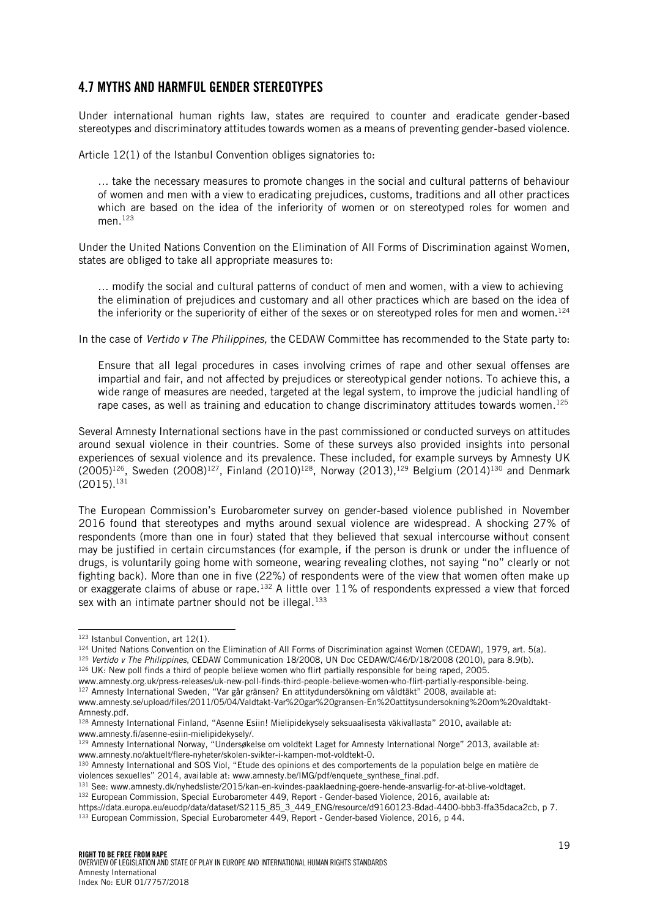#### <span id="page-18-0"></span>4.7 MYTHS AND HARMFUL GENDER STEREOTYPES

Under international human rights law, states are required to counter and eradicate gender-based stereotypes and discriminatory attitudes towards women as a means of preventing gender-based violence.

Article 12(1) of the Istanbul Convention obliges signatories to:

… take the necessary measures to promote changes in the social and cultural patterns of behaviour of women and men with a view to eradicating prejudices, customs, traditions and all other practices which are based on the idea of the inferiority of women or on stereotyped roles for women and men. $123$ 

Under the United Nations Convention on the Elimination of All Forms of Discrimination against Women, states are obliged to take all appropriate measures to:

… modify the social and cultural patterns of conduct of men and women, with a view to achieving the elimination of prejudices and customary and all other practices which are based on the idea of the inferiority or the superiority of either of the sexes or on stereotyped roles for men and women.<sup>124</sup>

In the case of *Vertido v The Philippines,* the CEDAW Committee has recommended to the State party to:

Ensure that all legal procedures in cases involving crimes of rape and other sexual offenses are impartial and fair, and not affected by prejudices or stereotypical gender notions. To achieve this, a wide range of measures are needed, targeted at the legal system, to improve the judicial handling of rape cases, as well as training and education to change discriminatory attitudes towards women.<sup>125</sup>

Several Amnesty International sections have in the past commissioned or conducted surveys on attitudes around sexual violence in their countries. Some of these surveys also provided insights into personal experiences of sexual violence and its prevalence. These included, for example surveys by Amnesty UK (2005)<sup>126</sup>, Sweden (2008)<sup>127</sup>, Finland (2010)<sup>128</sup>, Norway (2013),<sup>129</sup> Belgium (2014)<sup>130</sup> and Denmark  $(2015).$ <sup>131</sup>

The European Commission's Eurobarometer survey on gender-based violence published in November 2016 found that stereotypes and myths around sexual violence are widespread. A shocking 27% of respondents (more than one in four) stated that they believed that sexual intercourse without consent may be justified in certain circumstances (for example, if the person is drunk or under the influence of drugs, is voluntarily going home with someone, wearing revealing clothes, not saying "no" clearly or not fighting back). More than one in five (22%) of respondents were of the view that women often make up or exaggerate claims of abuse or rape.<sup>132</sup> A little over  $11\%$  of respondents expressed a view that forced sex with an intimate partner should not be illegal.<sup>133</sup>

l

<sup>126</sup> UK: New poll finds a third of people believe women who flirt partially responsible for being raped, 2005.

<sup>129</sup> Amnesty International Norway, "Undersøkelse om voldtekt Laget for Amnesty International Norge" 2013, available at: www.amnesty.no/aktuelt/flere-nyheter/skolen-svikter-i-kampen-mot-voldtekt-0.

<sup>123</sup> Istanbul Convention, art 12(1).

<sup>124</sup> United Nations Convention on the Elimination of All Forms of Discrimination against Women (CEDAW), 1979, art. 5(a). <sup>125</sup> *Vertido v The Philippines*, CEDAW Communication 18/2008, UN Doc CEDAW/C/46/D/18/2008 (2010), para 8.9(b).

www.amnesty.org.uk/press-releases/uk-new-poll-finds-third-people-believe-women-who-flirt-partially-responsible-being. <sup>127</sup> Amnesty International Sweden, "Var går gränsen? En attitydundersökning om våldtäkt" 2008, available at:

www.amnesty.se/upload/files/2011/05/04/Valdtakt-Var%20gar%20gransen-En%20attitysundersokning%20om%20valdtakt-Amnesty.pdf.

<sup>128</sup> Amnesty International Finland, "Asenne Esiin! Mielipidekysely seksuaalisesta väkivallasta" 2010, available at: www.amnesty.fi/asenne-esiin-mielipidekysely/.

<sup>130</sup> Amnesty International and SOS Viol, "Etude des opinions et des comportements de la population belge en matière de violences sexuelles" 2014, available at: www.amnesty.be/IMG/pdf/enquete\_synthese\_final.pdf.

<sup>131</sup> See: www.amnesty.dk/nyhedsliste/2015/kan-en-kvindes-paaklaedning-goere-hende-ansvarlig-for-at-blive-voldtaget. 132 European Commission, Special Eurobarometer 449, Report - Gender-based Violence, 2016, available at:

https://data.europa.eu/euodp/data/dataset/S2115\_85\_3\_449\_ENG/resource/d9160123-8dad-4400-bbb3-ffa35daca2cb, p 7. 133 European Commission, Special Eurobarometer 449, Report - Gender-based Violence, 2016, p 44.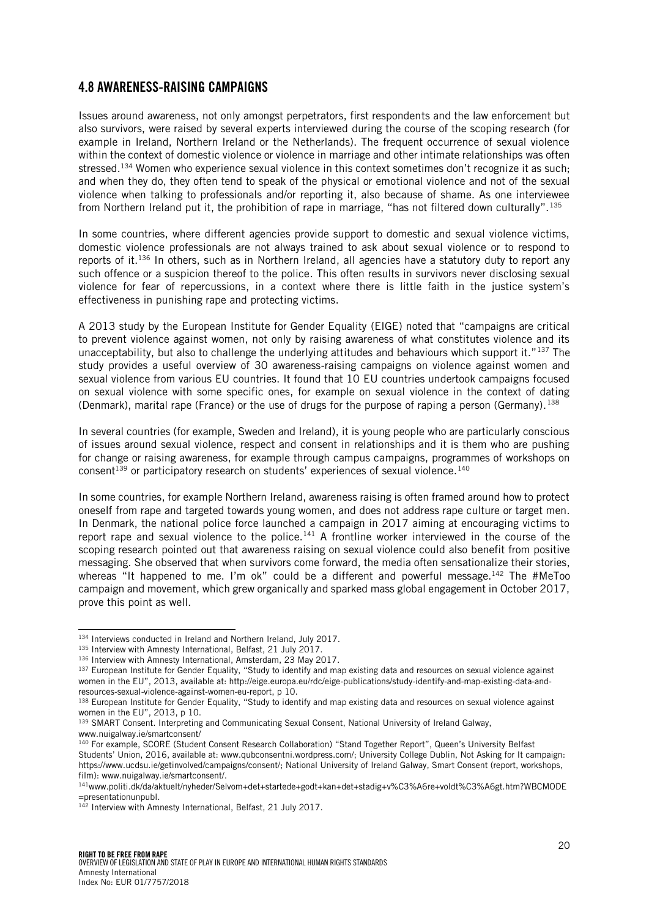#### <span id="page-19-0"></span>4.8 AWARENESS-RAISING CAMPAIGNS

Issues around awareness, not only amongst perpetrators, first respondents and the law enforcement but also survivors, were raised by several experts interviewed during the course of the scoping research (for example in Ireland, Northern Ireland or the Netherlands). The frequent occurrence of sexual violence within the context of domestic violence or violence in marriage and other intimate relationships was often stressed.<sup>134</sup> Women who experience sexual violence in this context sometimes don't recognize it as such; and when they do, they often tend to speak of the physical or emotional violence and not of the sexual violence when talking to professionals and/or reporting it, also because of shame. As one interviewee from Northern Ireland put it, the prohibition of rape in marriage, "has not filtered down culturally".<sup>135</sup>

In some countries, where different agencies provide support to domestic and sexual violence victims, domestic violence professionals are not always trained to ask about sexual violence or to respond to reports of it.<sup>136</sup> In others, such as in Northern Ireland, all agencies have a statutory duty to report any such offence or a suspicion thereof to the police. This often results in survivors never disclosing sexual violence for fear of repercussions, in a context where there is little faith in the justice system's effectiveness in punishing rape and protecting victims.

A 2013 study by the European Institute for Gender Equality (EIGE) noted that "campaigns are critical to prevent violence against women, not only by raising awareness of what constitutes violence and its unacceptability, but also to challenge the underlying attitudes and behaviours which support it."137 The study provides a useful overview of 30 awareness-raising campaigns on violence against women and sexual violence from various EU countries. It found that 10 EU countries undertook campaigns focused on sexual violence with some specific ones, for example on sexual violence in the context of dating (Denmark), marital rape (France) or the use of drugs for the purpose of raping a person (Germany).<sup>138</sup>

In several countries (for example, Sweden and Ireland), it is young people who are particularly conscious of issues around sexual violence, respect and consent in relationships and it is them who are pushing for change or raising awareness, for example through campus campaigns, programmes of workshops on consent<sup>139</sup> or participatory research on students' experiences of sexual violence.<sup>140</sup>

In some countries, for example Northern Ireland, awareness raising is often framed around how to protect oneself from rape and targeted towards young women, and does not address rape culture or target men. In Denmark, the national police force launched a campaign in 2017 aiming at encouraging victims to report rape and sexual violence to the police.<sup>141</sup> A frontline worker interviewed in the course of the scoping research pointed out that awareness raising on sexual violence could also benefit from positive messaging. She observed that when survivors come forward, the media often sensationalize their stories, whereas "It happened to me. I'm ok" could be a different and powerful message.<sup>142</sup> The #MeToo campaign and movement, which grew organically and sparked mass global engagement in October 2017, prove this point as well.

<sup>134</sup> Interviews conducted in Ireland and Northern Ireland, July 2017.

<sup>135</sup> Interview with Amnesty International, Belfast, 21 July 2017.

<sup>136</sup> Interview with Amnesty International, Amsterdam, 23 May 2017.

<sup>&</sup>lt;sup>137</sup> European Institute for Gender Equality, "Study to identify and map existing data and resources on sexual violence against women in the EU", 2013, available at: http://eige.europa.eu/rdc/eige-publications/study-identify-and-map-existing-data-andresources-sexual-violence-against-women-eu-report, p 10.

<sup>138</sup> European Institute for Gender Equality, "Study to identify and map existing data and resources on sexual violence against women in the EU", 2013, p 10.

<sup>139</sup> SMART Consent. Interpreting and Communicating Sexual Consent, National University of Ireland Galway, www.nuigalway.ie/smartconsent/

<sup>140</sup> For example, SCORE (Student Consent Research Collaboration) "Stand Together Report", Queen's University Belfast Students' Union, 2016, available at: www.qubconsentni.wordpress.com/; University College Dublin, Not Asking for It campaign: https://www.ucdsu.ie/getinvolved/campaigns/consent/; National University of Ireland Galway, Smart Consent (report, workshops, film): www.nuigalway.ie/smartconsent/.

<sup>141</sup>www.politi.dk/da/aktuelt/nyheder/Selvom+det+startede+godt+kan+det+stadig+v%C3%A6re+voldt%C3%A6gt.htm?WBCMODE =presentationunpubl.

<sup>142</sup> Interview with Amnesty International, Belfast, 21 July 2017.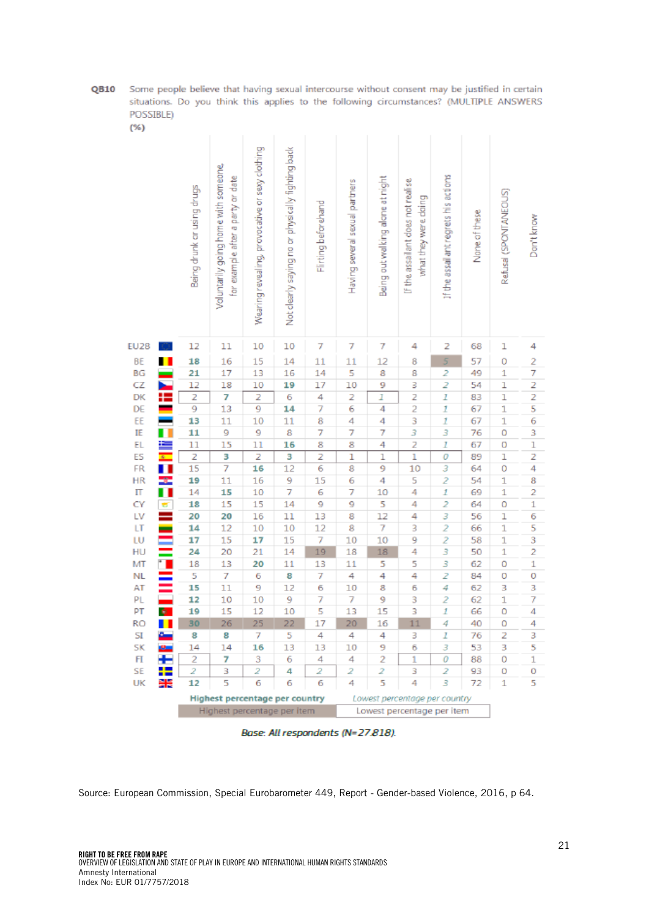QB10 Some people believe that having sexual intercourse without consent may be justified in certain situations. Do you think this applies to the following circumstances? (MULTIPLE ANSWERS POSSIBLE)  $(% )$ 

|              |                             | Being drunk ar using drugs | Voluntarily going home with someone,<br>for example after a party or date | Wearing revealing, provocative or sexy clothing | Not clearly saying no or physically fighting back | Flirting beforehand | Having several sexual partners | Being out walking alone at night | If the assailant does not realise<br>what they were doing | If the assail antiregrets his actions | None of these | Refusal (SPONTANEOUS) | Don't know        |
|--------------|-----------------------------|----------------------------|---------------------------------------------------------------------------|-------------------------------------------------|---------------------------------------------------|---------------------|--------------------------------|----------------------------------|-----------------------------------------------------------|---------------------------------------|---------------|-----------------------|-------------------|
| EU28         |                             | 12                         | 11                                                                        | 10                                              | 10                                                | 7                   | 7                              | 7                                | 4                                                         | 2                                     | 68            | l                     | 4                 |
| BE           | п                           | 18                         | 16                                                                        | 15                                              | 14                                                | $\overline{11}$     | $\overline{11}$                | 12                               | 8                                                         | 5                                     | 57            | 0                     | $\overline{c}$    |
| BG           |                             | 21                         | 17                                                                        | 13                                              | 16                                                | 14                  | 5                              | 8                                | 8                                                         | $\overline{2}$                        | 49            | $\overline{1}$        | 7                 |
| CZ           | E                           | $\overline{12}$            | 18                                                                        | 10                                              | 19                                                | 17                  | 10                             | 9                                | 3                                                         | 2                                     | 54            | l                     | $\frac{2}{2}$     |
| DK           |                             | $\frac{2}{9}$              | 7                                                                         | $\frac{2}{9}$                                   | 6                                                 | $\frac{4}{7}$       | $\frac{2}{6}$                  | I                                | $\frac{2}{2}$                                             | $\overline{1}$                        | 83            | 1                     |                   |
| DE           |                             |                            | 13                                                                        |                                                 | 14                                                |                     |                                | 4                                |                                                           | $\mathbf{I}$                          | 67            | $\mathbf{1}$          |                   |
| EE           |                             | 13                         | 11                                                                        | 10                                              | 11                                                | 8                   | $\frac{4}{7}$                  | 4                                | 3                                                         | $\mathbf{1}$                          | 67            | $\mathbf{1}$          | 6                 |
| IE<br>EL     | Ū                           | 11<br>11                   | 9                                                                         | 9<br>$\overline{11}$                            | 8                                                 | 7                   |                                | 7<br>4                           | 3                                                         | 3<br>Ī                                | 76<br>67      | ö                     | 3<br>$\mathbf{1}$ |
| ES           |                             | $\overline{z}$             | 15<br>3                                                                   | 2                                               | 16<br>3                                           | 8<br>2              |                                | $\overline{1}$                   | 2<br>ī                                                    | o                                     | 89            | 0<br>$\overline{1}$   | 2                 |
| FR           | H                           | 15                         | 7                                                                         | 16                                              | $\overline{12}$                                   | $\overline{6}$      | $\frac{8}{1}$                  | 9                                | 10                                                        | 3                                     | 64            | o                     | 4                 |
| HR           |                             | 19                         | $\overline{11}$                                                           | 16                                              | 9                                                 | 15                  |                                | 4                                | 5                                                         | $\overline{\mathcal{L}}$              | 54            | $\mathbf{1}$          | 8                 |
| Π            | i<br>I                      | 14                         | 15                                                                        | 10                                              | 7                                                 | 6                   | $\frac{6}{7}$                  | 10                               | 4                                                         | 1                                     | 69            | $\overline{1}$        | 2                 |
| ĊÝ           |                             | 18                         | 15                                                                        | 15                                              | 14                                                | 9                   | 9                              | 5                                | 4                                                         | $\overline{2}$                        | 64            | ō                     | $\overline{1}$    |
| LV           | ŧ                           | 20                         | 20                                                                        | 16                                              | $\overline{11}$                                   | 13                  | 8                              | 12                               | 4                                                         | 3                                     | 56            | $\overline{1}$        | 6                 |
| LT           | ۰                           | 14                         | 12                                                                        | 10                                              | 10                                                | 12                  | 8                              | 7                                | 3                                                         | $\overline{\mathbf{z}}$               | 66            | $\mathbf{1}$          | 5                 |
| LU           |                             | 17                         | 15                                                                        | 17                                              | 15                                                | 7                   | 10                             | 10                               | 9                                                         | $\overline{c}$                        | 58            | $\overline{1}$        | 3                 |
| HU           |                             | 24                         | 20                                                                        | 21                                              | 14                                                | 19                  | 18                             | 18                               | 4                                                         | 3                                     | 50            | $\overline{1}$        | $\overline{2}$    |
| MT           |                             | 18                         | 13                                                                        | 20                                              | 11                                                | 13                  | $\overline{11}$                | 5                                | 5                                                         | 3                                     | 62            | ö                     | $\mathbf{1}$      |
| <b>NL</b>    |                             | 5                          | 7                                                                         | 6                                               | 8                                                 | 7                   | 4                              | 4                                | 4                                                         | 2                                     | 84            | ō                     | ō                 |
| AT<br>PL     |                             | 15<br>12                   | 11<br>10                                                                  | 9<br>10                                         | 12<br>9                                           | 6<br>7              | 10<br>7                        | 8<br>9                           | 6<br>3                                                    | 4<br>$\overline{\mathbf{c}}$          | 62<br>62      | 3<br>$\mathbf{1}$     | 3<br>7            |
| PT           | Ą.                          | 19                         | 15                                                                        | 12                                              | 10                                                | 5                   | 13                             | 15                               | 3                                                         | $\mathbf{I}$                          | 66            | o                     | 4                 |
| <b>RO</b>    | П                           | 30                         | 26                                                                        | 25                                              | 22                                                | $\overline{17}$     | 20                             | 16                               | 11                                                        | 4                                     | 40            | o                     | 4                 |
| SI           | عة                          | 8                          | 8                                                                         | 7                                               | 5                                                 | 4                   | 4                              | 4                                | 3                                                         | 1                                     | 76            | Ż                     | 3                 |
| <b>SK</b>    | ø.                          | 14                         | 14                                                                        | 16                                              | 13                                                | 13                  | 10                             | 9                                | 6                                                         | 3                                     | 53            | 3                     | 5                 |
| $\mathsf{F}$ | Ŧ                           | $\overline{2}$             | 7                                                                         | 3                                               | 6                                                 | 4                   | 4                              | $\overline{2}$                   | ī                                                         | $\overline{o}$                        | 88            | ō                     | $\overline{1}$    |
| SE           |                             | $\overline{2}$             | 3                                                                         | $\overline{2}$                                  | 4                                                 | $\overline{2}$      | $\overline{2}$                 | $\overline{2}$                   | 3                                                         | $\overline{2}$                        | 93            | O                     | 0                 |
| UK           | 计装                          | 12                         | 5                                                                         | $\overline{6}$                                  | 6                                                 | $\overline{6}$      | 4                              | 5                                | 4                                                         | 3                                     | 72            | $\overline{1}$        | 5                 |
|              |                             |                            | Highest percentage per country                                            |                                                 |                                                   |                     |                                |                                  | Lowest percentage per country                             |                                       |               |                       |                   |
|              | Highest percentage per item |                            |                                                                           |                                                 |                                                   |                     | Lowest percentage per item     |                                  |                                                           |                                       |               |                       |                   |

Base: All respondents (N=27.818).

Source: European Commission, Special Eurobarometer 449, Report - Gender-based Violence, 2016, p 64.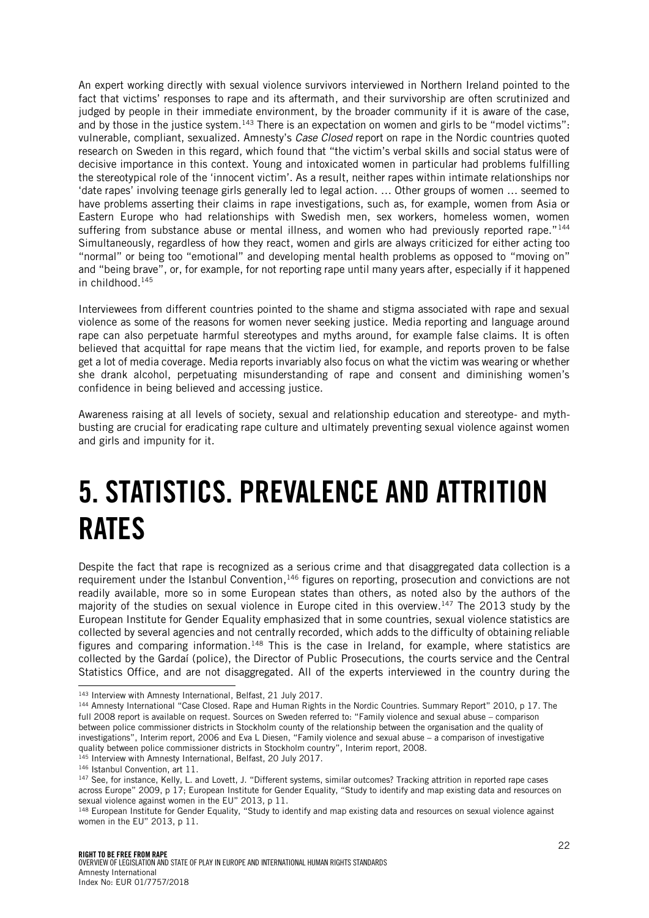An expert working directly with sexual violence survivors interviewed in Northern Ireland pointed to the fact that victims' responses to rape and its aftermath, and their survivorship are often scrutinized and judged by people in their immediate environment, by the broader community if it is aware of the case, and by those in the justice system.<sup>143</sup> There is an expectation on women and girls to be "model victims": vulnerable, compliant, sexualized. Amnesty's *Case Closed* report on rape in the Nordic countries quoted research on Sweden in this regard, which found that "the victim's verbal skills and social status were of decisive importance in this context. Young and intoxicated women in particular had problems fulfilling the stereotypical role of the 'innocent victim'. As a result, neither rapes within intimate relationships nor 'date rapes' involving teenage girls generally led to legal action. … Other groups of women … seemed to have problems asserting their claims in rape investigations, such as, for example, women from Asia or Eastern Europe who had relationships with Swedish men, sex workers, homeless women, women suffering from substance abuse or mental illness, and women who had previously reported rape."<sup>144</sup> Simultaneously, regardless of how they react, women and girls are always criticized for either acting too "normal" or being too "emotional" and developing mental health problems as opposed to "moving on" and "being brave", or, for example, for not reporting rape until many years after, especially if it happened in childhood. 145

Interviewees from different countries pointed to the shame and stigma associated with rape and sexual violence as some of the reasons for women never seeking justice. Media reporting and language around rape can also perpetuate harmful stereotypes and myths around, for example false claims. It is often believed that acquittal for rape means that the victim lied, for example, and reports proven to be false get a lot of media coverage. Media reports invariably also focus on what the victim was wearing or whether she drank alcohol, perpetuating misunderstanding of rape and consent and diminishing women's confidence in being believed and accessing justice.

Awareness raising at all levels of society, sexual and relationship education and stereotype- and mythbusting are crucial for eradicating rape culture and ultimately preventing sexual violence against women and girls and impunity for it.

# <span id="page-21-0"></span>5. STATISTICS. PREVALENCE AND ATTRITION RATES

Despite the fact that rape is recognized as a serious crime and that disaggregated data collection is a requirement under the Istanbul Convention,<sup>146</sup> figures on reporting, prosecution and convictions are not readily available, more so in some European states than others, as noted also by the authors of the majority of the studies on sexual violence in Europe cited in this overview. <sup>147</sup> The 2013 study by the European Institute for Gender Equality emphasized that in some countries, sexual violence statistics are collected by several agencies and not centrally recorded, which adds to the difficulty of obtaining reliable figures and comparing information.<sup>148</sup> This is the case in Ireland, for example, where statistics are collected by the Gardaí (police), the Director of Public Prosecutions, the courts service and the Central Statistics Office, and are not disaggregated. All of the experts interviewed in the country during the

<sup>143</sup> Interview with Amnesty International, Belfast, 21 July 2017.

<sup>144</sup> Amnesty International "Case Closed. Rape and Human Rights in the Nordic Countries. Summary Report" 2010, p 17. The full 2008 report is available on request. Sources on Sweden referred to: "Family violence and sexual abuse – comparison between police commissioner districts in Stockholm county of the relationship between the organisation and the quality of investigations", Interim report, 2006 and Eva L Diesen, "Family violence and sexual abuse – a comparison of investigative quality between police commissioner districts in Stockholm country", Interim report, 2008.

<sup>145</sup> Interview with Amnesty International, Belfast, 20 July 2017.

<sup>146</sup> Istanbul Convention, art 11.

<sup>147</sup> See, for instance, Kelly, L. and Lovett, J. "Different systems, similar outcomes? Tracking attrition in reported rape cases across Europe" 2009, p 17; European Institute for Gender Equality, "Study to identify and map existing data and resources on sexual violence against women in the EU" 2013, p 11.

<sup>&</sup>lt;sup>148</sup> European Institute for Gender Equality, "Study to identify and map existing data and resources on sexual violence against women in the EU" 2013, p 11.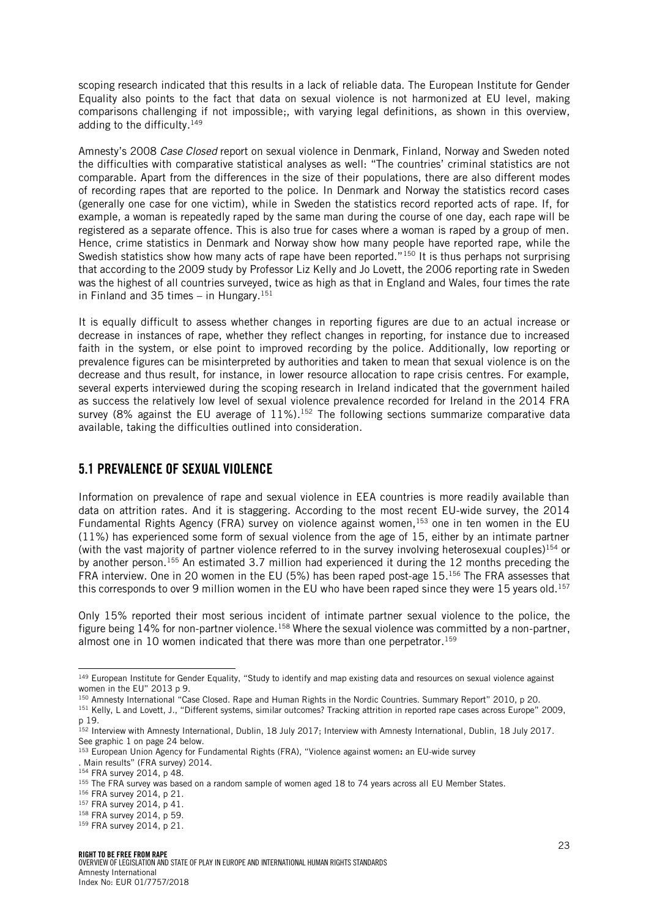scoping research indicated that this results in a lack of reliable data. The European Institute for Gender Equality also points to the fact that data on sexual violence is not harmonized at EU level, making comparisons challenging if not impossible;, with varying legal definitions, as shown in this overview, adding to the difficulty.<sup>149</sup>

Amnesty's 2008 *Case Closed* report on sexual violence in Denmark, Finland, Norway and Sweden noted the difficulties with comparative statistical analyses as well: "The countries' criminal statistics are not comparable. Apart from the differences in the size of their populations, there are also different modes of recording rapes that are reported to the police. In Denmark and Norway the statistics record cases (generally one case for one victim), while in Sweden the statistics record reported acts of rape. If, for example, a woman is repeatedly raped by the same man during the course of one day, each rape will be registered as a separate offence. This is also true for cases where a woman is raped by a group of men. Hence, crime statistics in Denmark and Norway show how many people have reported rape, while the Swedish statistics show how many acts of rape have been reported."<sup>150</sup> It is thus perhaps not surprising that according to the 2009 study by Professor Liz Kelly and Jo Lovett, the 2006 reporting rate in Sweden was the highest of all countries surveyed, twice as high as that in England and Wales, four times the rate in Finland and 35 times – in Hungary.<sup>151</sup>

It is equally difficult to assess whether changes in reporting figures are due to an actual increase or decrease in instances of rape, whether they reflect changes in reporting, for instance due to increased faith in the system, or else point to improved recording by the police. Additionally, low reporting or prevalence figures can be misinterpreted by authorities and taken to mean that sexual violence is on the decrease and thus result, for instance, in lower resource allocation to rape crisis centres. For example, several experts interviewed during the scoping research in Ireland indicated that the government hailed as success the relatively low level of sexual violence prevalence recorded for Ireland in the 2014 FRA survey (8% against the EU average of  $11\%$ ).<sup>152</sup> The following sections summarize comparative data available, taking the difficulties outlined into consideration.

### <span id="page-22-0"></span>5.1 PREVALENCE OF SEXUAL VIOLENCE

Information on prevalence of rape and sexual violence in EEA countries is more readily available than data on attrition rates. And it is staggering. According to the most recent EU-wide survey, the 2014 Fundamental Rights Agency (FRA) survey on violence against women,<sup>153</sup> one in ten women in the EU (11%) has experienced some form of sexual violence from the age of 15, either by an intimate partner (with the vast majority of partner violence referred to in the survey involving heterosexual couples)<sup>154</sup> or by another person.<sup>155</sup> An estimated 3.7 million had experienced it during the 12 months preceding the FRA interview. One in 20 women in the EU (5%) has been raped post-age 15. <sup>156</sup> The FRA assesses that this corresponds to over 9 million women in the EU who have been raped since they were 15 years old.<sup>157</sup>

Only 15% reported their most serious incident of intimate partner sexual violence to the police, the figure being 14% for non-partner violence.<sup>158</sup> Where the sexual violence was committed by a non-partner, almost one in 10 women indicated that there was more than one perpetrator.<sup>159</sup>

. Main results" (FRA survey) 2014.

<sup>&</sup>lt;sup>149</sup> European Institute for Gender Equality, "Study to identify and map existing data and resources on sexual violence against women in the EU" 2013 p 9.

<sup>150</sup> Amnesty International "Case Closed. Rape and Human Rights in the Nordic Countries. Summary Report" 2010, p 20.

<sup>151</sup> Kelly, L and Lovett, J., "Different systems, similar outcomes? Tracking attrition in reported rape cases across Europe" 2009, p 19.

<sup>152</sup> Interview with Amnesty International, Dublin, 18 July 2017; Interview with Amnesty International, Dublin, 18 July 2017. See graphic 1 on page 24 below.

<sup>&</sup>lt;sup>153</sup> European Union Agency for Fundamental Rights (FRA), "Violence against women: an EU-wide survey

<sup>154</sup> FRA survey 2014, p 48.

<sup>155</sup> The FRA survey was based on a random sample of women aged 18 to 74 years across all EU Member States.

<sup>156</sup> FRA survey 2014, p 21.

<sup>157</sup> FRA survey 2014, p 41.

<sup>158</sup> FRA survey 2014, p 59.

<sup>159</sup> FRA survey 2014, p 21.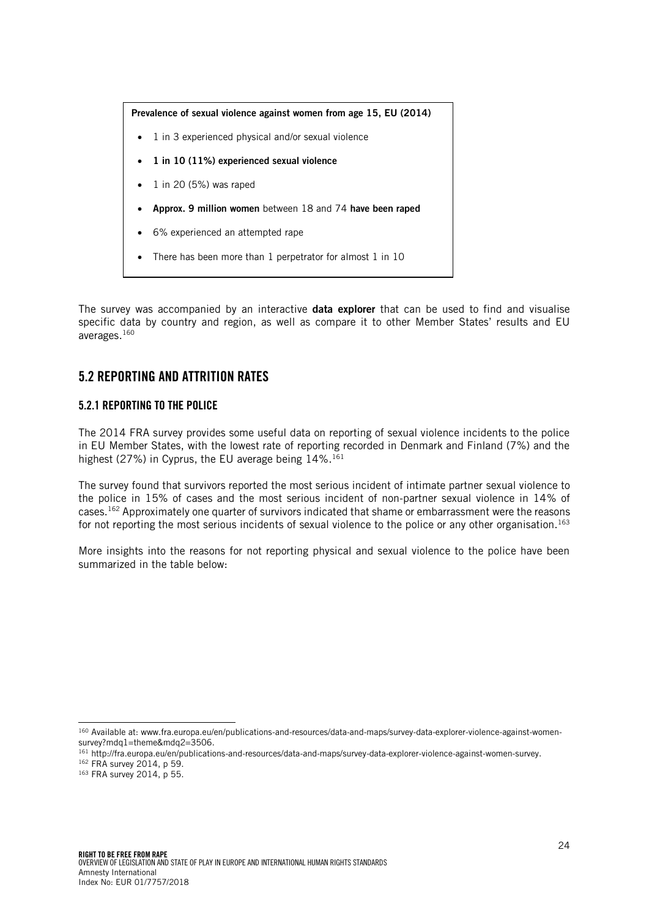

- 1 in 3 experienced physical and/or sexual violence
- 1 in 10 (11%) experienced sexual violence
- 1 in 20 (5%) was raped
- Approx. 9 million women between 18 and 74 have been raped
- 6% experienced an attempted rape
- There has been more than 1 perpetrator for almost 1 in 10

The survey was accompanied by an interactive **data explorer** that can be used to find and visualise specific data by country and region, as well as compare it to other Member States' results and EU averages.<sup>160</sup>

# <span id="page-23-0"></span>5.2 REPORTING AND ATTRITION RATES

#### <span id="page-23-1"></span>5.2.1 REPORTING TO THE POLICE

The 2014 FRA survey provides some useful data on reporting of sexual violence incidents to the police in EU Member States, with the lowest rate of reporting recorded in Denmark and Finland (7%) and the highest (27%) in Cyprus, the EU average being 14%.<sup>161</sup>

The survey found that survivors reported the most serious incident of intimate partner sexual violence to the police in 15% of cases and the most serious incident of non-partner sexual violence in 14% of cases.<sup>162</sup> Approximately one quarter of survivors indicated that shame or embarrassment were the reasons for not reporting the most serious incidents of sexual violence to the police or any other organisation.<sup>163</sup>

More insights into the reasons for not reporting physical and sexual violence to the police have been summarized in the table below:

- <sup>161</sup> http://fra.europa.eu/en/publications-and-resources/data-and-maps/survey-data-explorer-violence-against-women-survey.
- <sup>162</sup> FRA survey 2014, p 59. <sup>163</sup> FRA survey 2014, p 55.

l <sup>160</sup> Available at: www.fra.europa.eu/en/publications-and-resources/data-and-maps/survey-data-explorer-violence-against-womensurvey?mdq1=theme&mdq2=3506.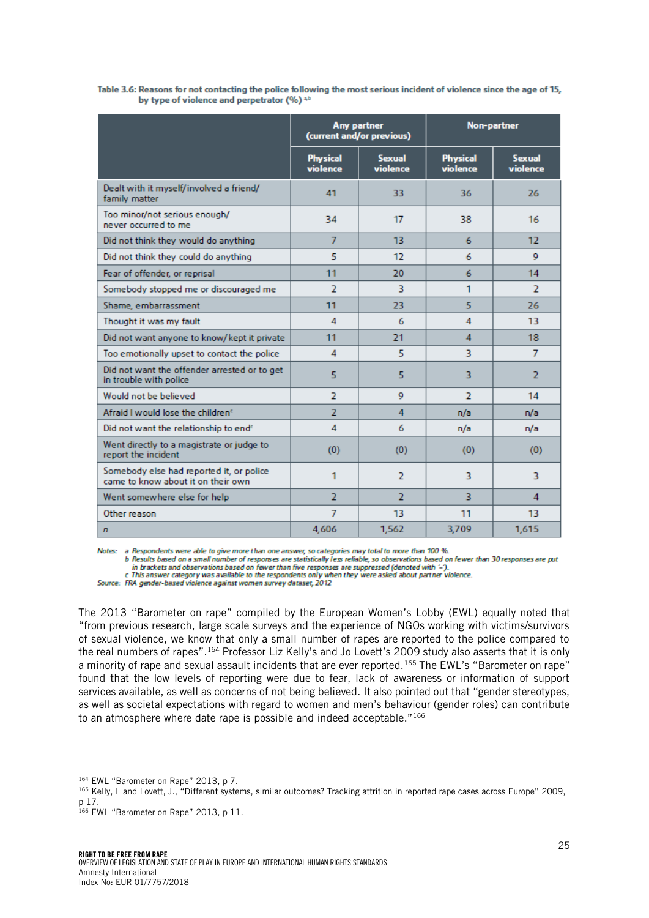|                                                                                |                             | Any partner<br>(current and/or previous) | Non-partner                 |                           |  |  |
|--------------------------------------------------------------------------------|-----------------------------|------------------------------------------|-----------------------------|---------------------------|--|--|
|                                                                                | <b>Physical</b><br>violence | <b>Sexual</b><br>violence                | <b>Physical</b><br>violence | <b>Sexual</b><br>violence |  |  |
| Dealt with it myself/involved a friend/<br>family matter                       | 41                          | 33                                       | 36                          | 26                        |  |  |
| Too minor/not serious enough/<br>never occurred to me                          | 34                          | 17                                       | 38                          | 16                        |  |  |
| Did not think they would do anything                                           | $\overline{7}$              | 13                                       | 6                           | 12                        |  |  |
| Did not think they could do anything                                           | 5                           | 12                                       | 6                           | 9                         |  |  |
| Fear of offender, or reprisal                                                  | 11                          | 20                                       | 6                           | 14                        |  |  |
| Somebody stopped me or discouraged me                                          | $\overline{2}$              | 3                                        | 1                           | $\overline{2}$            |  |  |
| Shame, embarrassment                                                           | 11                          | 23.                                      | 5                           | 26                        |  |  |
| Thought it was my fault                                                        | $\overline{A}$              | 6                                        | 4                           | 13                        |  |  |
| Did not want anyone to know/kept it private                                    | 11                          | 21                                       | $\overline{A}$              | 18                        |  |  |
| Too emotionally upset to contact the police                                    | 4                           | 5                                        | 3                           | $\overline{7}$            |  |  |
| Did not want the offender arrested or to get<br>in trouble with police         | 5                           | 5                                        | 3                           | 2                         |  |  |
| Would not be believed                                                          | $\overline{2}$              | $\mathbf Q$                              | $\overline{z}$              | 14                        |  |  |
| Afraid I would lose the children <sup>c</sup>                                  | フ                           | $\overline{A}$                           | n/a                         | n/a                       |  |  |
| Did not want the relationship to end <sup>c</sup>                              | 4                           | 6                                        | n/a                         | n/a                       |  |  |
| Went directly to a magistrate or judge to<br>report the incident               | (0)                         | (0)                                      | (0)                         | (0)                       |  |  |
| Somebody else had reported it, or police<br>came to know about it on their own | 1                           | $\overline{2}$                           | 3                           | 3                         |  |  |
| Went somewhere else for help                                                   | $\overline{2}$              | $\overline{2}$                           | 3                           | $\overline{4}$            |  |  |
| Other reason                                                                   | $\overline{7}$              | 13                                       | 11                          | 13                        |  |  |
| $\sqrt{n}$                                                                     | 4,606                       | 1,562                                    | 3,709                       | 1,615                     |  |  |

#### Table 3.6: Reasons for not contacting the police following the most serious incident of violence since the age of 15, by type of violence and perpetrator (%) ab

Notes: a Respondents were able to give more than one answer, so categories may total to more than 100 %.

b Results based on a small number of responses are statistically less reliable, so observations based on fewer than 30 responses are put in brackets and observations based on fewer than five responses are suppressed (denoted with '-').

c This answer category was available to the respondents only when they were asked about partner violence.

Source: FRA gender-based violence against women survey dataset, 2012

The 2013 "Barometer on rape" compiled by the European Women's Lobby (EWL) equally noted that "from previous research, large scale surveys and the experience of NGOs working with victims/survivors of sexual violence, we know that only a small number of rapes are reported to the police compared to the real numbers of rapes". <sup>164</sup> Professor Liz Kelly's and Jo Lovett's 2009 study also asserts that it is only a minority of rape and sexual assault incidents that are ever reported.<sup>165</sup> The EWL's "Barometer on rape" found that the low levels of reporting were due to fear, lack of awareness or information of support services available, as well as concerns of not being believed. It also pointed out that "gender stereotypes, as well as societal expectations with regard to women and men's behaviour (gender roles) can contribute to an atmosphere where date rape is possible and indeed acceptable."<sup>166</sup>

l <sup>164</sup> EWL "Barometer on Rape" 2013, p 7.

<sup>165</sup> Kelly, L and Lovett, J., "Different systems, similar outcomes? Tracking attrition in reported rape cases across Europe" 2009, p 17.

<sup>166</sup> EWL "Barometer on Rape" 2013, p 11.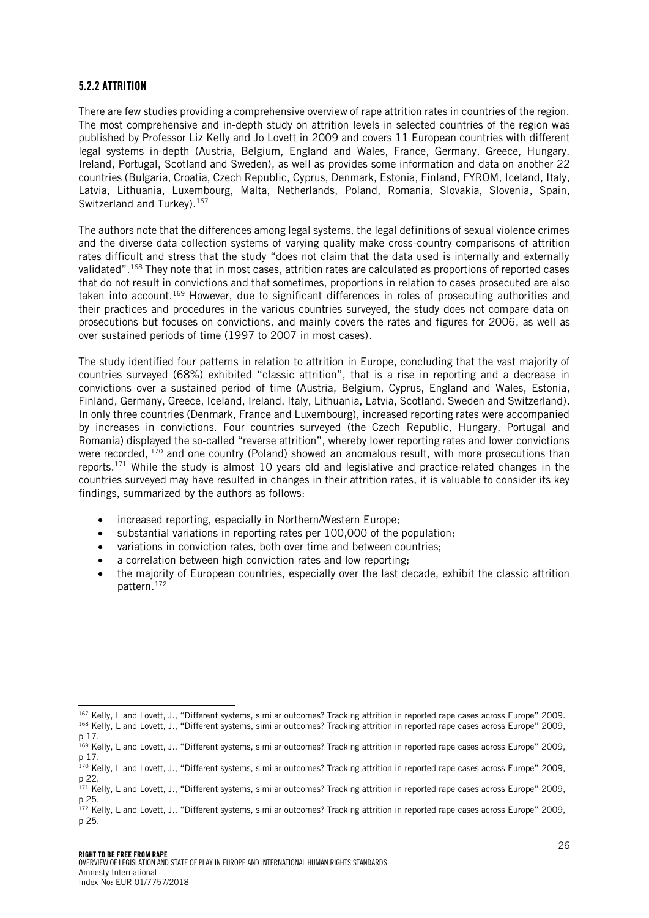#### <span id="page-25-0"></span>5.2.2 ATTRITION

l

There are few studies providing a comprehensive overview of rape attrition rates in countries of the region. The most comprehensive and in-depth study on attrition levels in selected countries of the region was published by Professor Liz Kelly and Jo Lovett in 2009 and covers 11 European countries with different legal systems in-depth (Austria, Belgium, England and Wales, France, Germany, Greece, Hungary, Ireland, Portugal, Scotland and Sweden), as well as provides some information and data on another 22 countries (Bulgaria, Croatia, Czech Republic, Cyprus, Denmark, Estonia, Finland, FYROM, Iceland, Italy, Latvia, Lithuania, Luxembourg, Malta, Netherlands, Poland, Romania, Slovakia, Slovenia, Spain, Switzerland and Turkey).<sup>167</sup>

The authors note that the differences among legal systems, the legal definitions of sexual violence crimes and the diverse data collection systems of varying quality make cross-country comparisons of attrition rates difficult and stress that the study "does not claim that the data used is internally and externally validated". <sup>168</sup> They note that in most cases, attrition rates are calculated as proportions of reported cases that do not result in convictions and that sometimes, proportions in relation to cases prosecuted are also taken into account.<sup>169</sup> However, due to significant differences in roles of prosecuting authorities and their practices and procedures in the various countries surveyed, the study does not compare data on prosecutions but focuses on convictions, and mainly covers the rates and figures for 2006, as well as over sustained periods of time (1997 to 2007 in most cases).

The study identified four patterns in relation to attrition in Europe, concluding that the vast majority of countries surveyed (68%) exhibited "classic attrition", that is a rise in reporting and a decrease in convictions over a sustained period of time (Austria, Belgium, Cyprus, England and Wales, Estonia, Finland, Germany, Greece, Iceland, Ireland, Italy, Lithuania, Latvia, Scotland, Sweden and Switzerland). In only three countries (Denmark, France and Luxembourg), increased reporting rates were accompanied by increases in convictions. Four countries surveyed (the Czech Republic, Hungary, Portugal and Romania) displayed the so-called "reverse attrition", whereby lower reporting rates and lower convictions were recorded, <sup>170</sup> and one country (Poland) showed an anomalous result, with more prosecutions than reports. <sup>171</sup> While the study is almost 10 years old and legislative and practice-related changes in the countries surveyed may have resulted in changes in their attrition rates, it is valuable to consider its key findings, summarized by the authors as follows:

- increased reporting, especially in Northern/Western Europe;
- substantial variations in reporting rates per 100,000 of the population;
- variations in conviction rates, both over time and between countries;
- a correlation between high conviction rates and low reporting:
- the majority of European countries, especially over the last decade, exhibit the classic attrition pattern.<sup>172</sup>

<sup>167</sup> Kelly, L and Lovett, J., "Different systems, similar outcomes? Tracking attrition in reported rape cases across Europe" 2009. <sup>168</sup> Kelly, L and Lovett, J., "Different systems, similar outcomes? Tracking attrition in reported rape cases across Europe" 2009, p 17.

<sup>&</sup>lt;sup>169</sup> Kelly, L and Lovett, J., "Different systems, similar outcomes? Tracking attrition in reported rape cases across Europe" 2009, p 17.

<sup>170</sup> Kelly, L and Lovett, J., "Different systems, similar outcomes? Tracking attrition in reported rape cases across Europe" 2009, p 22.

<sup>&</sup>lt;sup>171</sup> Kelly, L and Lovett, J., "Different systems, similar outcomes? Tracking attrition in reported rape cases across Europe" 2009, p 25.

<sup>172</sup> Kelly, L and Lovett, J., "Different systems, similar outcomes? Tracking attrition in reported rape cases across Europe" 2009, p 25.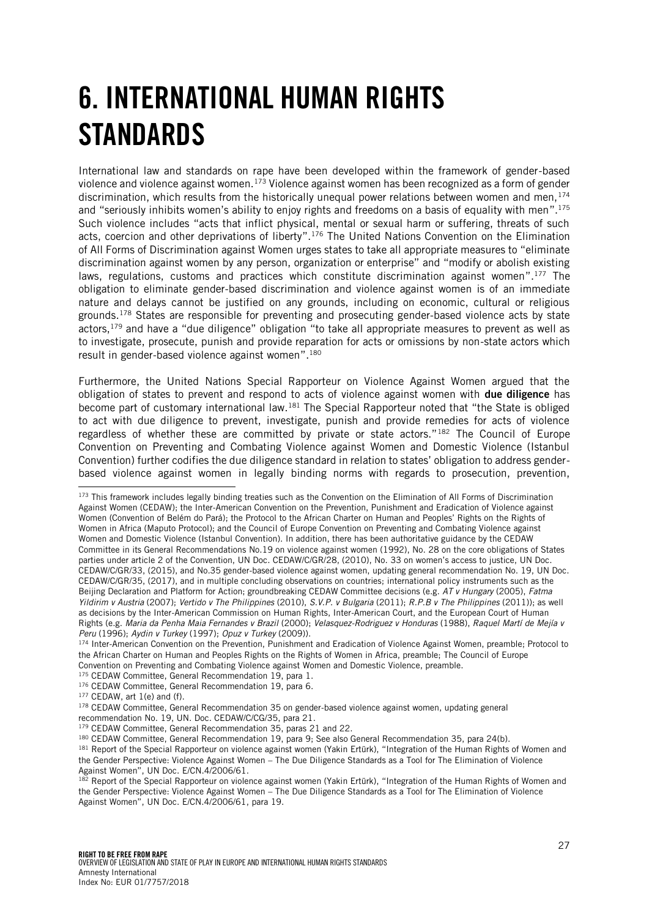# <span id="page-26-0"></span>6. INTERNATIONAL HUMAN RIGHTS **STANDARDS**

International law and standards on rape have been developed within the framework of gender-based violence and violence against women.<sup>173</sup> Violence against women has been recognized as a form of gender discrimination, which results from the historically unequal power relations between women and men,  $174$ and "seriously inhibits women's ability to enjoy rights and freedoms on a basis of equality with men". 175 Such violence includes "acts that inflict physical, mental or sexual harm or suffering, threats of such acts, coercion and other deprivations of liberty". <sup>176</sup> The United Nations Convention on the Elimination of All Forms of Discrimination against Women urges states to take all appropriate measures to "eliminate discrimination against women by any person, organization or enterprise" and "modify or abolish existing laws, regulations, customs and practices which constitute discrimination against women".<sup>177</sup> The obligation to eliminate gender-based discrimination and violence against women is of an immediate nature and delays cannot be justified on any grounds, including on economic, cultural or religious grounds.<sup>178</sup> States are responsible for preventing and prosecuting gender-based violence acts by state actors,<sup>179</sup> and have a "due diligence" obligation "to take all appropriate measures to prevent as well as to investigate, prosecute, punish and provide reparation for acts or omissions by non-state actors which result in gender-based violence against women". 180

Furthermore, the United Nations Special Rapporteur on Violence Against Women argued that the obligation of states to prevent and respond to acts of violence against women with **due diligence** has become part of customary international law.<sup>181</sup> The Special Rapporteur noted that "the State is obliged to act with due diligence to prevent, investigate, punish and provide remedies for acts of violence regardless of whether these are committed by private or state actors."<sup>182</sup> The Council of Europe Convention on Preventing and Combating Violence against Women and Domestic Violence (Istanbul Convention) further codifies the due diligence standard in relation to states' obligation to address genderbased violence against women in legally binding norms with regards to prosecution, prevention,

174 Inter-American Convention on the Prevention, Punishment and Eradication of Violence Against Women, preamble; Protocol to the African Charter on Human and Peoples Rights on the Rights of Women in Africa, preamble; The Council of Europe Convention on Preventing and Combating Violence against Women and Domestic Violence, preamble.

- 175 CEDAW Committee, General Recommendation 19, para 1.
- 176 CEDAW Committee, General Recommendation 19, para 6.
- 177 CEDAW, art 1(e) and (f).

j

<sup>180</sup> CEDAW Committee, General Recommendation 19, para 9; See also General Recommendation 35, para 24(b).

181 Report of the Special Rapporteur on violence against women (Yakin Ertürk), "Integration of the Human Rights of Women and the Gender Perspective: Violence Against Women – The Due Diligence Standards as a Tool for The Elimination of Violence Against Women", UN Doc. E/CN.4/2006/61.

<sup>&</sup>lt;sup>173</sup> This framework includes legally binding treaties such as the Convention on the Elimination of All Forms of Discrimination Against Women (CEDAW); the Inter-American Convention on the Prevention, Punishment and Eradication of Violence against Women (Convention of Belém do Pará); the Protocol to the African Charter on Human and Peoples' Rights on the Rights of Women in Africa (Maputo Protocol); and the Council of Europe Convention on Preventing and Combating Violence against Women and Domestic Violence (Istanbul Convention). In addition, there has been authoritative guidance by the CEDAW Committee in its General Recommendations No.19 on violence against women (1992), No. 28 on the core obligations of States parties under article 2 of the Convention, UN Doc. CEDAW/C/GR/28, (2010), No. 33 on women's access to justice, UN Doc. CEDAW/C/GR/33, (2015), and No.35 gender-based violence against women, updating general recommendation No. 19, UN Doc. CEDAW/C/GR/35, (2017), and in multiple concluding observations on countries; international policy instruments such as the Beijing Declaration and Platform for Action; groundbreaking CEDAW Committee decisions (e.g. *AT v Hungary* (2005), *Fatma Yildirim v Austria* (2007); *Vertido v The Philippines* (2010), *S.V.P. v Bulgaria* (2011); *R.P.B v The Philippines* (2011)); as well as decisions by the Inter-American Commission on Human Rights, Inter-American Court, and the European Court of Human Rights (e.g. *Maria da Penha Maia Fernandes v Brazil* (2000); *Velasquez-Rodriguez v Honduras* (1988), *Raquel Martí de Mejía v Peru* (1996); *Aydin v Turkey* (1997); *Opuz v Turkey* (2009)).

<sup>&</sup>lt;sup>178</sup> CEDAW Committee, General Recommendation 35 on gender-based violence against women, updating general recommendation No. 19, UN. Doc. CEDAW/C/CG/35, para 21.

<sup>179</sup> CEDAW Committee, General Recommendation 35, paras 21 and 22.

<sup>&</sup>lt;sup>182</sup> Report of the Special Rapporteur on violence against women (Yakin Ertürk), "Integration of the Human Rights of Women and the Gender Perspective: Violence Against Women – The Due Diligence Standards as a Tool for The Elimination of Violence Against Women", UN Doc. E/CN.4/2006/61, para 19.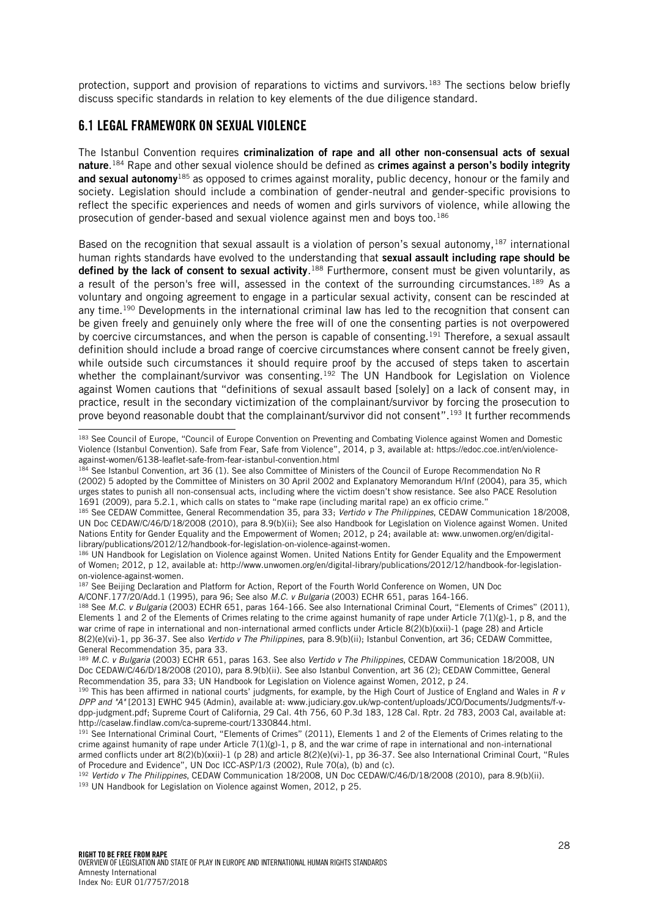protection, support and provision of reparations to victims and survivors.<sup>183</sup> The sections below briefly discuss specific standards in relation to key elements of the due diligence standard.

#### <span id="page-27-0"></span>6.1 LEGAL FRAMEWORK ON SEXUAL VIOLENCE

The Istanbul Convention requires criminalization of rape and all other non-consensual acts of sexual nature.<sup>184</sup> Rape and other sexual violence should be defined as **crimes against a person's bodily integrity** and sexual autonomy<sup>185</sup> as opposed to crimes against morality, public decency, honour or the family and society. Legislation should include a combination of gender-neutral and gender-specific provisions to reflect the specific experiences and needs of women and girls survivors of violence, while allowing the prosecution of gender-based and sexual violence against men and boys too.<sup>186</sup>

Based on the recognition that sexual assault is a violation of person's sexual autonomy, <sup>187</sup> international human rights standards have evolved to the understanding that sexual assault including rape should be defined by the lack of consent to sexual activity.<sup>188</sup> Furthermore, consent must be given voluntarily, as a result of the person's free will, assessed in the context of the surrounding circumstances.<sup>189</sup> As a voluntary and ongoing agreement to engage in a particular sexual activity, consent can be rescinded at any time.<sup>190</sup> Developments in the international criminal law has led to the recognition that consent can be given freely and genuinely only where the free will of one the consenting parties is not overpowered by coercive circumstances, and when the person is capable of consenting.<sup>191</sup> Therefore, a sexual assault definition should include a broad range of coercive circumstances where consent cannot be freely given, while outside such circumstances it should require proof by the accused of steps taken to ascertain whether the complainant/survivor was consenting.<sup>192</sup> The UN Handbook for Legislation on Violence against Women cautions that "definitions of sexual assault based [solely] on a lack of consent may, in practice, result in the secondary victimization of the complainant/survivor by forcing the prosecution to prove beyond reasonable doubt that the complainant/survivor did not consent". <sup>193</sup> It further recommends

l <sup>183</sup> See Council of Europe, "Council of Europe Convention on Preventing and Combating Violence against Women and Domestic Violence (Istanbul Convention). Safe from Fear, Safe from Violence", 2014, p 3, available at: https://edoc.coe.int/en/violenceagainst-women/6138-leaflet-safe-from-fear-istanbul-convention.html

<sup>184</sup> See Istanbul Convention, art 36 (1). See also Committee of Ministers of the Council of Europe Recommendation No R (2002) 5 adopted by the Committee of Ministers on 30 April 2002 and Explanatory Memorandum H/Inf (2004), para 35, which urges states to punish all non-consensual acts, including where the victim doesn't show resistance. See also PACE Resolution 1691 (2009), para 5.2.1, which calls on states to "make rape (including marital rape) an ex officio crime."

<sup>185</sup> See CEDAW Committee, General Recommendation 35, para 33; *Vertido v The Philippines*, CEDAW Communication 18/2008, UN Doc CEDAW/C/46/D/18/2008 (2010), para 8.9(b)(ii); See also Handbook for Legislation on Violence against Women. United Nations Entity for Gender Equality and the Empowerment of Women; 2012, p 24; available at: www.unwomen.org/en/digitallibrary/publications/2012/12/handbook-for-legislation-on-violence-against-women.

<sup>186</sup> UN Handbook for Legislation on Violence against Women. United Nations Entity for Gender Equality and the Empowerment of Women; 2012, p 12, available at: http://www.unwomen.org/en/digital-library/publications/2012/12/handbook-for-legislationon-violence-against-women.

<sup>187</sup> See Beijing Declaration and Platform for Action, Report of the Fourth World Conference on Women, UN Doc A/CONF.177/20/Add.1 (1995), para 96; See also *M.C. v Bulgaria* (2003) ECHR 651, paras 164-166.

<sup>188</sup> See *M.C. v Bulgaria* (2003) ECHR 651, paras 164-166. See also International Criminal Court, "Elements of Crimes" (2011), Elements 1 and 2 of the Elements of Crimes relating to the crime against humanity of rape under Article 7(1)(g)-1, p 8, and the war crime of rape in international and non-international armed conflicts under Article 8(2)(b)(xxii)-1 (page 28) and Article 8(2)(e)(vi)-1, pp 36-37. See also *Vertido v The Philippines*, para 8.9(b)(ii); Istanbul Convention, art 36; CEDAW Committee, General Recommendation 35, para 33.

<sup>189</sup> *M.C. v Bulgaria* (2003) ECHR 651, paras 163. See also *Vertido v The Philippines*, CEDAW Communication 18/2008, UN Doc CEDAW/C/46/D/18/2008 (2010), para 8.9(b)(ii). See also Istanbul Convention, art 36 (2); CEDAW Committee, General Recommendation 35, para 33; UN Handbook for Legislation on Violence against Women, 2012, p 24.

<sup>190</sup> This has been affirmed in national courts' judgments, for example, by the High Court of Justice of England and Wales in *R v DPP and "A"* [2013] EWHC 945 (Admin), available at: www.judiciary.gov.uk/wp-content/uploads/JCO/Documents/Judgments/f-vdpp-judgment.pdf; Supreme Court of California, 29 Cal. 4th 756, 60 P.3d 183, 128 Cal. Rptr. 2d 783, 2003 Cal, available at: http://caselaw.findlaw.com/ca-supreme-court/1330844.html.

<sup>&</sup>lt;sup>191</sup> See International Criminal Court, "Elements of Crimes" (2011), Elements 1 and 2 of the Elements of Crimes relating to the crime against humanity of rape under Article  $7(1)(g)-1$ , p 8, and the war crime of rape in international and non-international armed conflicts under art 8(2)(b)(xxii)-1 (p 28) and article 8(2)(e)(vi)-1, pp 36-37. See also International Criminal Court, "Rules of Procedure and Evidence", UN Doc ICC-ASP/1/3 (2002), Rule 70(a), (b) and (c).

<sup>192</sup> *Vertido v The Philippines*, CEDAW Communication 18/2008, UN Doc CEDAW/C/46/D/18/2008 (2010), para 8.9(b)(ii). 193 UN Handbook for Legislation on Violence against Women, 2012, p 25.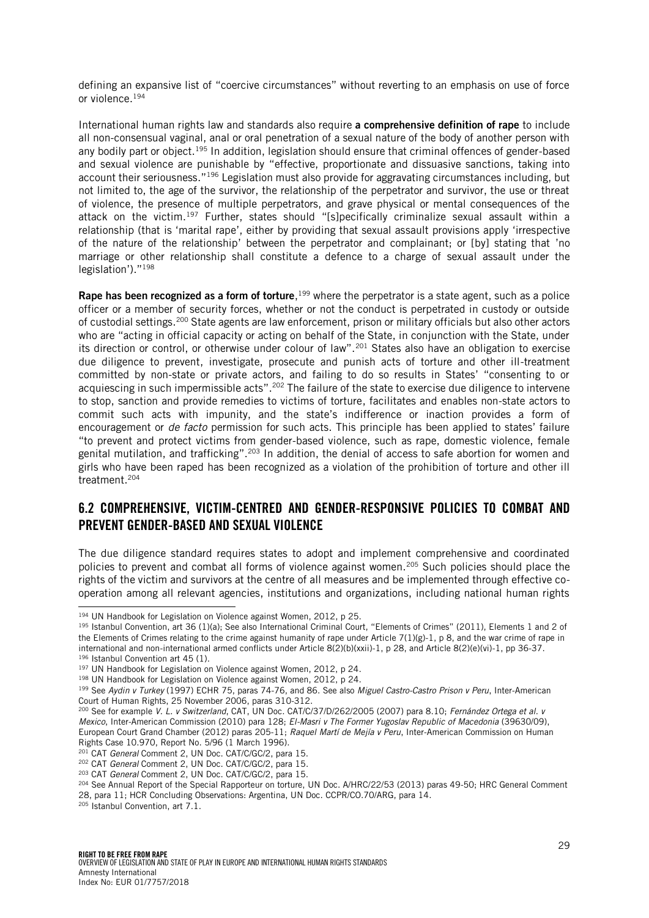defining an expansive list of "coercive circumstances" without reverting to an emphasis on use of force or violence.<sup>194</sup>

International human rights law and standards also require a comprehensive definition of rape to include all non-consensual vaginal, anal or oral penetration of a sexual nature of the body of another person with any bodily part or object.<sup>195</sup> In addition, legislation should ensure that criminal offences of gender-based and sexual violence are punishable by "effective, proportionate and dissuasive sanctions, taking into account their seriousness."<sup>196</sup> Legislation must also provide for aggravating circumstances including, but not limited to, the age of the survivor, the relationship of the perpetrator and survivor, the use or threat of violence, the presence of multiple perpetrators, and grave physical or mental consequences of the attack on the victim.<sup>197</sup> Further, states should "[s]pecifically criminalize sexual assault within a relationship (that is 'marital rape', either by providing that sexual assault provisions apply 'irrespective of the nature of the relationship' between the perpetrator and complainant; or [by] stating that 'no marriage or other relationship shall constitute a defence to a charge of sexual assault under the legislation')."<sup>198</sup>

Rape has been recognized as a form of torture,<sup>199</sup> where the perpetrator is a state agent, such as a police officer or a member of security forces, whether or not the conduct is perpetrated in custody or outside of custodial settings.<sup>200</sup> State agents are law enforcement, prison or military officials but also other actors who are "acting in official capacity or acting on behalf of the State, in conjunction with the State, under its direction or control, or otherwise under colour of law".<sup>201</sup> States also have an obligation to exercise due diligence to prevent, investigate, prosecute and punish acts of torture and other ill-treatment committed by non-state or private actors, and failing to do so results in States' "consenting to or acquiescing in such impermissible acts". <sup>202</sup> The failure of the state to exercise due diligence to intervene to stop, sanction and provide remedies to victims of torture, facilitates and enables non-state actors to commit such acts with impunity, and the state's indifference or inaction provides a form of encouragement or *de facto* permission for such acts. This principle has been applied to states' failure "to prevent and protect victims from gender-based violence, such as rape, domestic violence, female genital mutilation, and trafficking".<sup>203</sup> In addition, the denial of access to safe abortion for women and girls who have been raped has been recognized as a violation of the prohibition of torture and other ill treatment.<sup>204</sup>

### <span id="page-28-0"></span>6.2 COMPREHENSIVE, VICTIM-CENTRED AND GENDER-RESPONSIVE POLICIES TO COMBAT AND PREVENT GENDER-BASED AND SEXUAL VIOLENCE

The due diligence standard requires states to adopt and implement comprehensive and coordinated policies to prevent and combat all forms of violence against women.<sup>205</sup> Such policies should place the rights of the victim and survivors at the centre of all measures and be implemented through effective cooperation among all relevant agencies, institutions and organizations, including national human rights

<sup>205</sup> Istanbul Convention, art 7.1.

<sup>&</sup>lt;sup>194</sup> UN Handbook for Legislation on Violence against Women, 2012, p 25.

<sup>195</sup> Istanbul Convention, art 36 (1)(a); See also International Criminal Court, "Elements of Crimes" (2011), Elements 1 and 2 of the Elements of Crimes relating to the crime against humanity of rape under Article 7(1)(g)-1, p 8, and the war crime of rape in international and non-international armed conflicts under Article 8(2)(b)(xxii)-1, p 28, and Article 8(2)(e)(vi)-1, pp 36-37. 196 Istanbul Convention art 45 (1).

<sup>197</sup> UN Handbook for Legislation on Violence against Women, 2012, p 24.

<sup>198</sup> UN Handbook for Legislation on Violence against Women, 2012, p 24.

<sup>199</sup> See *Aydin v Turkey* (1997) ECHR 75, paras 74-76, and 86. See also *Miguel Castro-Castro Prison v Peru*, Inter-American Court of Human Rights, 25 November 2006, paras 310-312.

<sup>200</sup> See for example *V. L. v Switzerland*, CAT, UN Doc. CAT/C/37/D/262/2005 (2007) para 8.10; *Fernández Ortega et al. v Mexico*, Inter-American Commission (2010) para 128; *El-Masri v The Former Yugoslav Republic of Macedonia* (39630/09), European Court Grand Chamber (2012) paras 205-11; *Raquel Martí de Mejía v Peru*, Inter-American Commission on Human Rights Case 10.970, Report No. 5/96 (1 March 1996).

<sup>201</sup> CAT *General* Comment 2, UN Doc. CAT/C/GC/2, para 15.

<sup>202</sup> CAT *General* Comment 2, UN Doc. CAT/C/GC/2, para 15.

<sup>203</sup> CAT *General* Comment 2, UN Doc. CAT/C/GC/2, para 15.

<sup>&</sup>lt;sup>204</sup> See Annual Report of the Special Rapporteur on torture, UN Doc. A/HRC/22/53 (2013) paras 49-50; HRC General Comment 28, para 11; HCR Concluding Observations: Argentina, UN Doc. CCPR/CO.70/ARG, para 14.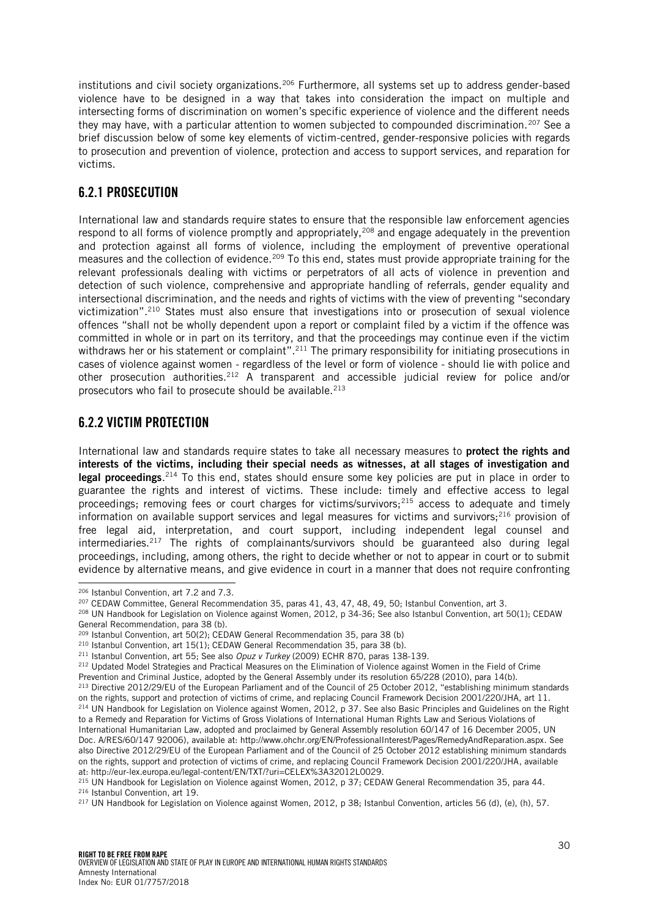institutions and civil society organizations.<sup>206</sup> Furthermore, all systems set up to address gender-based violence have to be designed in a way that takes into consideration the impact on multiple and intersecting forms of discrimination on women's specific experience of violence and the different needs they may have, with a particular attention to women subjected to compounded discrimination.<sup>207</sup> See a brief discussion below of some key elements of victim-centred, gender-responsive policies with regards to prosecution and prevention of violence, protection and access to support services, and reparation for victims.

### <span id="page-29-0"></span>6.2.1 PROSECUTION

International law and standards require states to ensure that the responsible law enforcement agencies respond to all forms of violence promptly and appropriately,<sup>208</sup> and engage adequately in the prevention and protection against all forms of violence, including the employment of preventive operational measures and the collection of evidence.<sup>209</sup> To this end, states must provide appropriate training for the relevant professionals dealing with victims or perpetrators of all acts of violence in prevention and detection of such violence, comprehensive and appropriate handling of referrals, gender equality and intersectional discrimination, and the needs and rights of victims with the view of preventing "secondary victimization".<sup>210</sup> States must also ensure that investigations into or prosecution of sexual violence offences "shall not be wholly dependent upon a report or complaint filed by a victim if the offence was committed in whole or in part on its territory, and that the proceedings may continue even if the victim withdraws her or his statement or complaint".<sup>211</sup> The primary responsibility for initiating prosecutions in cases of violence against women - regardless of the level or form of violence - should lie with police and other prosecution authorities.<sup>212</sup> A transparent and accessible judicial review for police and/or prosecutors who fail to prosecute should be available.<sup>213</sup>

### <span id="page-29-1"></span>6.2.2 VICTIM PROTECTION

International law and standards require states to take all necessary measures to protect the rights and interests of the victims, including their special needs as witnesses, at all stages of investigation and legal proceedings.<sup>214</sup> To this end, states should ensure some key policies are put in place in order to guarantee the rights and interest of victims. These include: timely and effective access to legal proceedings; removing fees or court charges for victims/survivors;<sup>215</sup> access to adequate and timely information on available support services and legal measures for victims and survivors; $^{216}$  provision of free legal aid, interpretation, and court support, including independent legal counsel and intermediaries.<sup>217</sup> The rights of complainants/survivors should be guaranteed also during legal proceedings, including, among others, the right to decide whether or not to appear in court or to submit evidence by alternative means, and give evidence in court in a manner that does not require confronting

l <sup>206</sup> Istanbul Convention, art 7.2 and 7.3.

<sup>207</sup> CEDAW Committee, General Recommendation 35, paras 41, 43, 47, 48, 49, 50; Istanbul Convention, art 3.

<sup>208</sup> UN Handbook for Legislation on Violence against Women, 2012, p 34-36; See also Istanbul Convention, art 50(1); CEDAW General Recommendation, para 38 (b).

<sup>&</sup>lt;sup>209</sup> Istanbul Convention, art 50(2); CEDAW General Recommendation 35, para 38 (b).

<sup>210</sup> Istanbul Convention, art 15(1); CEDAW General Recommendation 35, para 38 (b).

<sup>211</sup> Istanbul Convention, art 55; See also *Opuz v Turkey* (2009) ECHR 870, paras 138-139.

<sup>&</sup>lt;sup>212</sup> Updated Model Strategies and Practical Measures on the Elimination of Violence against Women in the Field of Crime

Prevention and Criminal Justice, adopted by the General Assembly under its resolution 65/228 (2010), para 14(b). <sup>213</sup> Directive 2012/29/EU of the European Parliament and of the Council of 25 October 2012, "establishing minimum standards

on the rights, support and protection of victims of crime, and replacing Council Framework Decision 2001/220/JHA, art 11. <sup>214</sup> UN Handbook for Legislation on Violence against Women, 2012, p 37. See also Basic Principles and Guidelines on the Right to a Remedy and Reparation for Victims of Gross Violations of International Human Rights Law and Serious Violations of International Humanitarian Law, adopted and proclaimed by General Assembly resolution 60/147 of 16 December 2005, UN Doc. A/RES/60/147 92006), available at: http://www.ohchr.org/EN/ProfessionalInterest/Pages/RemedyAndReparation.aspx. See also Directive 2012/29/EU of the European Parliament and of the Council of 25 October 2012 establishing minimum standards on the rights, support and protection of victims of crime, and replacing Council Framework Decision 2001/220/JHA, available at: http://eur-lex.europa.eu/legal-content/EN/TXT/?uri=CELEX%3A32012L0029.

<sup>215</sup> UN Handbook for Legislation on Violence against Women, 2012, p 37; CEDAW General Recommendation 35, para 44. <sup>216</sup> Istanbul Convention, art 19.

<sup>217</sup> UN Handbook for Legislation on Violence against Women, 2012, p 38; Istanbul Convention, articles 56 (d), (e), (h), 57.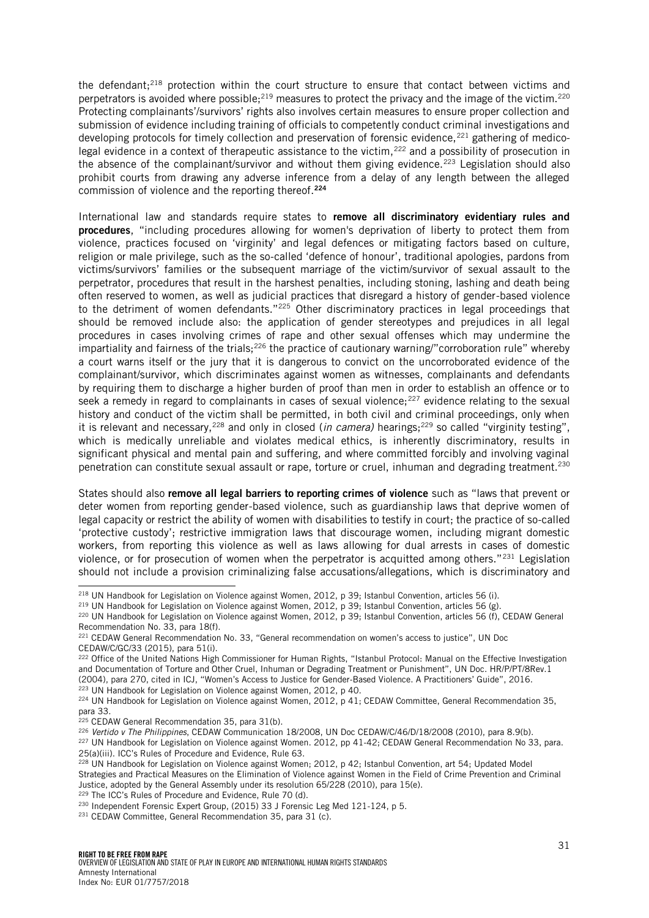the defendant; $218$  protection within the court structure to ensure that contact between victims and perpetrators is avoided where possible;<sup>219</sup> measures to protect the privacy and the image of the victim.<sup>220</sup> Protecting complainants'/survivors' rights also involves certain measures to ensure proper collection and submission of evidence including training of officials to competently conduct criminal investigations and developing protocols for timely collection and preservation of forensic evidence,<sup>221</sup> gathering of medicolegal evidence in a context of therapeutic assistance to the victim,<sup>222</sup> and a possibility of prosecution in the absence of the complainant/survivor and without them giving evidence.<sup>223</sup> Legislation should also prohibit courts from drawing any adverse inference from a delay of any length between the alleged commission of violence and the reporting thereof.<sup>224</sup>

International law and standards require states to remove all discriminatory evidentiary rules and procedures, "including procedures allowing for women's deprivation of liberty to protect them from violence, practices focused on 'virginity' and legal defences or mitigating factors based on culture, religion or male privilege, such as the so-called 'defence of honour', traditional apologies, pardons from victims/survivors' families or the subsequent marriage of the victim/survivor of sexual assault to the perpetrator, procedures that result in the harshest penalties, including stoning, lashing and death being often reserved to women, as well as judicial practices that disregard a history of gender-based violence to the detriment of women defendants."<sup>225</sup> Other discriminatory practices in legal proceedings that should be removed include also: the application of gender stereotypes and prejudices in all legal procedures in cases involving crimes of rape and other sexual offenses which may undermine the impartiality and fairness of the trials;<sup>226</sup> the practice of cautionary warning/"corroboration rule" whereby a court warns itself or the jury that it is dangerous to convict on the uncorroborated evidence of the complainant/survivor, which discriminates against women as witnesses, complainants and defendants by requiring them to discharge a higher burden of proof than men in order to establish an offence or to seek a remedy in regard to complainants in cases of sexual violence;<sup>227</sup> evidence relating to the sexual history and conduct of the victim shall be permitted, in both civil and criminal proceedings, only when it is relevant and necessary,<sup>228</sup> and only in closed (*in camera*) hearings;<sup>229</sup> so called "virginity testing", which is medically unreliable and violates medical ethics, is inherently discriminatory, results in significant physical and mental pain and suffering, and where committed forcibly and involving vaginal penetration can constitute sexual assault or rape, torture or cruel, inhuman and degrading treatment.<sup>230</sup>

States should also remove all legal barriers to reporting crimes of violence such as "laws that prevent or deter women from reporting gender-based violence, such as guardianship laws that deprive women of legal capacity or restrict the ability of women with disabilities to testify in court; the practice of so-called 'protective custody'; restrictive immigration laws that discourage women, including migrant domestic workers, from reporting this violence as well as laws allowing for dual arrests in cases of domestic violence, or for prosecution of women when the perpetrator is acquitted among others."<sup>231</sup> Legislation should not include a provision criminalizing false accusations/allegations, which is discriminatory and

j

<sup>218</sup> UN Handbook for Legislation on Violence against Women, 2012, p 39; Istanbul Convention, articles 56 (i).

<sup>219</sup> UN Handbook for Legislation on Violence against Women, 2012, p 39; Istanbul Convention, articles 56 (g).

<sup>220</sup> UN Handbook for Legislation on Violence against Women, 2012, p 39; Istanbul Convention, articles 56 (f), CEDAW General Recommendation No. 33, para 18(f).

<sup>221</sup> CEDAW General Recommendation No. 33, "General recommendation on women's access to justice", UN Doc CEDAW/C/GC/33 (2015), para 51(i).

<sup>&</sup>lt;sup>222</sup> Office of the United Nations High Commissioner for Human Rights, "Istanbul Protocol: Manual on the Effective Investigation and Documentation of Torture and Other Cruel, Inhuman or Degrading Treatment or Punishment", UN Doc. HR/P/PT/8Rev.1 (2004), para 270, cited in ICJ, "Women's Access to Justice for Gender-Based Violence. A Practitioners' Guide", 2016.

<sup>223</sup> UN Handbook for Legislation on Violence against Women, 2012, p 40. <sup>224</sup> UN Handbook for Legislation on Violence against Women, 2012, p 41; CEDAW Committee, General Recommendation 35,

para 33.

<sup>&</sup>lt;sup>225</sup> CEDAW General Recommendation 35, para 31(b).

<sup>226</sup> *Vertido v The Philippines*, CEDAW Communication 18/2008, UN Doc CEDAW/C/46/D/18/2008 (2010), para 8.9(b).

<sup>&</sup>lt;sup>227</sup> UN Handbook for Legislation on Violence against Women. 2012, pp 41-42; CEDAW General Recommendation No 33, para. 25(a)(iii). ICC's Rules of Procedure and Evidence, Rule 63.

<sup>&</sup>lt;sup>228</sup> UN Handbook for Legislation on Violence against Women; 2012, p 42; Istanbul Convention, art 54; Updated Model Strategies and Practical Measures on the Elimination of Violence against Women in the Field of Crime Prevention and Criminal Justice, adopted by the General Assembly under its resolution 65/228 (2010), para 15(e).

<sup>&</sup>lt;sup>229</sup> The ICC's Rules of Procedure and Evidence, Rule 70 (d).

<sup>230</sup> Independent Forensic Expert Group, (2015) 33 J Forensic Leg Med 121-124, p 5.

<sup>231</sup> CEDAW Committee, General Recommendation 35, para 31 (c).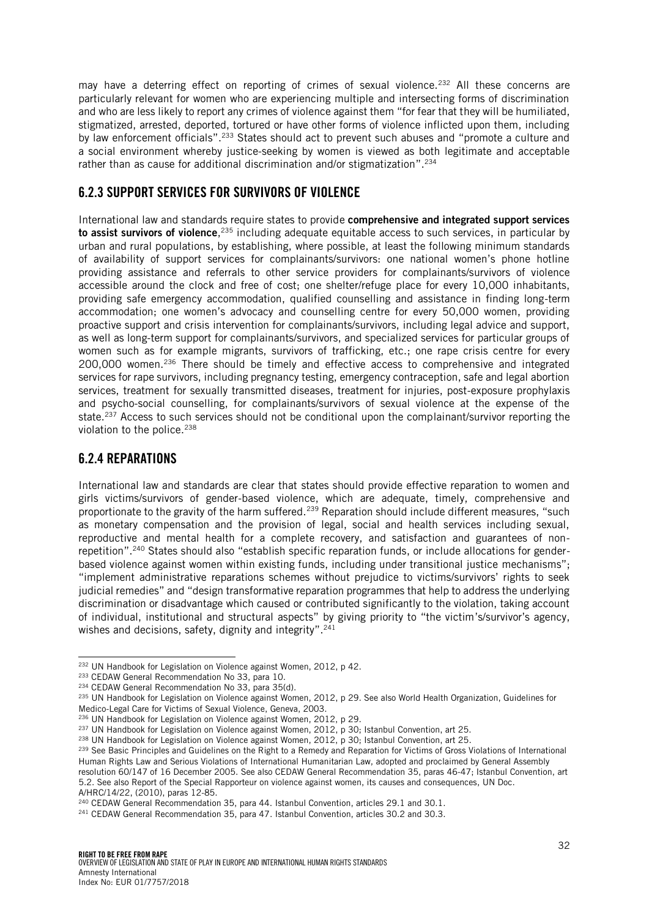may have a deterring effect on reporting of crimes of sexual violence.<sup>232</sup> All these concerns are particularly relevant for women who are experiencing multiple and intersecting forms of discrimination and who are less likely to report any crimes of violence against them "for fear that they will be humiliated, stigmatized, arrested, deported, tortured or have other forms of violence inflicted upon them, including by law enforcement officials".<sup>233</sup> States should act to prevent such abuses and "promote a culture and a social environment whereby justice-seeking by women is viewed as both legitimate and acceptable rather than as cause for additional discrimination and/or stigmatization". 234

### <span id="page-31-0"></span>6.2.3 SUPPORT SERVICES FOR SURVIVORS OF VIOLENCE

International law and standards require states to provide comprehensive and integrated support services **to assist survivors of violence**,<sup>235</sup> including adequate equitable access to such services, in particular by urban and rural populations, by establishing, where possible, at least the following minimum standards of availability of support services for complainants/survivors: one national women's phone hotline providing assistance and referrals to other service providers for complainants/survivors of violence accessible around the clock and free of cost; one shelter/refuge place for every 10,000 inhabitants, providing safe emergency accommodation, qualified counselling and assistance in finding long-term accommodation; one women's advocacy and counselling centre for every 50,000 women, providing proactive support and crisis intervention for complainants/survivors, including legal advice and support, as well as long-term support for complainants/survivors, and specialized services for particular groups of women such as for example migrants, survivors of trafficking, etc.; one rape crisis centre for every 200,000 women.<sup>236</sup> There should be timely and effective access to comprehensive and integrated services for rape survivors, including pregnancy testing, emergency contraception, safe and legal abortion services, treatment for sexually transmitted diseases, treatment for injuries, post-exposure prophylaxis and psycho-social counselling, for complainants/survivors of sexual violence at the expense of the state.<sup>237</sup> Access to such services should not be conditional upon the complainant/survivor reporting the violation to the police.<sup>238</sup>

#### <span id="page-31-1"></span>6.2.4 REPARATIONS

International law and standards are clear that states should provide effective reparation to women and girls victims/survivors of gender-based violence, which are adequate, timely, comprehensive and proportionate to the gravity of the harm suffered.<sup>239</sup> Reparation should include different measures, "such as monetary compensation and the provision of legal, social and health services including sexual, reproductive and mental health for a complete recovery, and satisfaction and guarantees of nonrepetition". <sup>240</sup> States should also "establish specific reparation funds, or include allocations for genderbased violence against women within existing funds, including under transitional justice mechanisms"; "implement administrative reparations schemes without prejudice to victims/survivors' rights to seek judicial remedies" and "design transformative reparation programmes that help to address the underlying discrimination or disadvantage which caused or contributed significantly to the violation, taking account of individual, institutional and structural aspects" by giving priority to "the victim's/survivor's agency, wishes and decisions, safety, dignity and integrity". 241

j <sup>232</sup> UN Handbook for Legislation on Violence against Women, 2012, p 42.

<sup>&</sup>lt;sup>233</sup> CEDAW General Recommendation No 33, para 10.

<sup>234</sup> CEDAW General Recommendation No 33, para 35(d).

<sup>235</sup> UN Handbook for Legislation on Violence against Women, 2012, p 29. See also World Health Organization, Guidelines for Medico-Legal Care for Victims of Sexual Violence, Geneva, 2003.

<sup>236</sup> UN Handbook for Legislation on Violence against Women, 2012, p 29.

<sup>&</sup>lt;sup>237</sup> UN Handbook for Legislation on Violence against Women, 2012, p 30; Istanbul Convention, art 25.

<sup>&</sup>lt;sup>238</sup> UN Handbook for Legislation on Violence against Women, 2012, p 30; Istanbul Convention, art 25.

<sup>&</sup>lt;sup>239</sup> See Basic Principles and Guidelines on the Right to a Remedy and Reparation for Victims of Gross Violations of International Human Rights Law and Serious Violations of International Humanitarian Law, adopted and proclaimed by General Assembly resolution 60/147 of 16 December 2005. See also CEDAW General Recommendation 35, paras 46-47; Istanbul Convention, art 5.2. See also Report of the Special Rapporteur on violence against women, its causes and consequences, UN Doc. A/HRC/14/22, (2010), paras 12-85.

<sup>240</sup> CEDAW General Recommendation 35, para 44. Istanbul Convention, articles 29.1 and 30.1.

<sup>241</sup> CEDAW General Recommendation 35, para 47. Istanbul Convention, articles 30.2 and 30.3.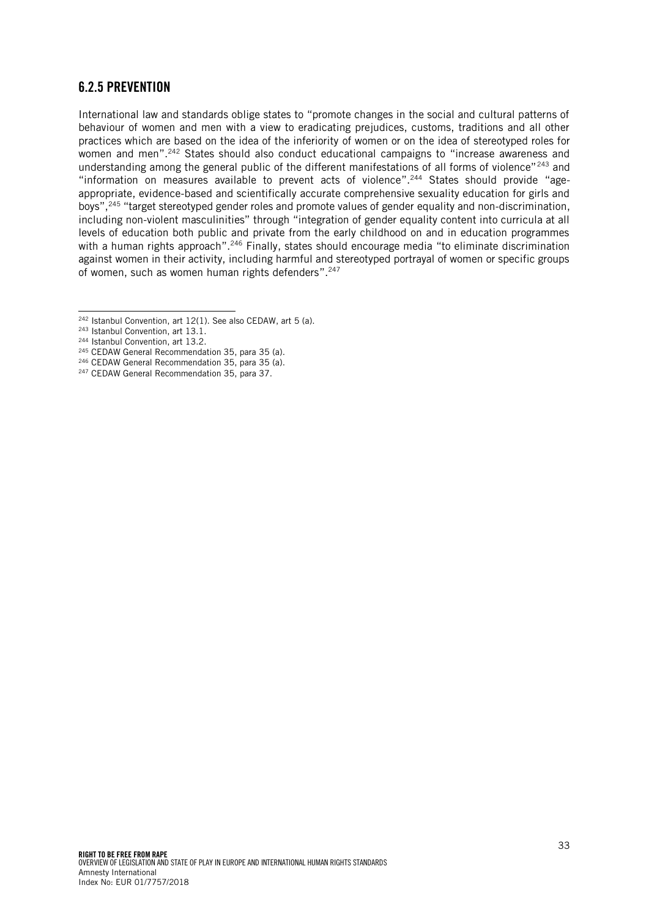#### <span id="page-32-0"></span>6.2.5 PREVENTION

International law and standards oblige states to "promote changes in the social and cultural patterns of behaviour of women and men with a view to eradicating prejudices, customs, traditions and all other practices which are based on the idea of the inferiority of women or on the idea of stereotyped roles for women and men".<sup>242</sup> States should also conduct educational campaigns to "increase awareness and understanding among the general public of the different manifestations of all forms of violence"<sup>243</sup> and "information on measures available to prevent acts of violence". <sup>244</sup> States should provide "ageappropriate, evidence-based and scientifically accurate comprehensive sexuality education for girls and boys",<sup>245</sup> "target stereotyped gender roles and promote values of gender equality and non-discrimination, including non-violent masculinities" through "integration of gender equality content into curricula at all levels of education both public and private from the early childhood on and in education programmes with a human rights approach".<sup>246</sup> Finally, states should encourage media "to eliminate discrimination against women in their activity, including harmful and stereotyped portrayal of women or specific groups of women, such as women human rights defenders". 247

j

- <sup>245</sup> CEDAW General Recommendation 35, para 35 (a).
- <sup>246</sup> CEDAW General Recommendation 35, para 35 (a).
- <sup>247</sup> CEDAW General Recommendation 35, para 37.

<sup>242</sup> Istanbul Convention, art 12(1). See also CEDAW, art 5 (a).

<sup>243</sup> Istanbul Convention, art 13.1.

<sup>244</sup> Istanbul Convention, art 13.2.